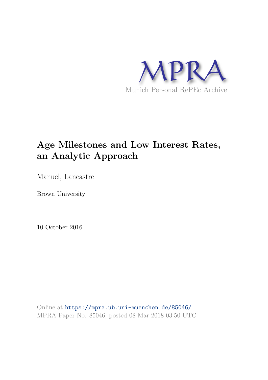

# **Age Milestones and Low Interest Rates, an Analytic Approach**

Manuel, Lancastre

Brown University

10 October 2016

Online at https://mpra.ub.uni-muenchen.de/85046/ MPRA Paper No. 85046, posted 08 Mar 2018 03:50 UTC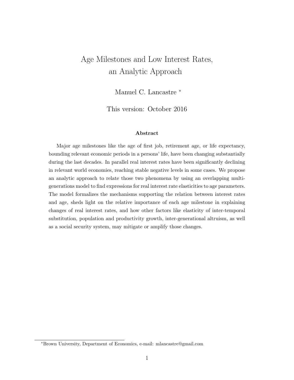# Age Milestones and Low Interest Rates, an Analytic Approach

Manuel C. Lancastre <sup>∗</sup>

This version: October 2016

#### Abstract

Major age milestones like the age of first job, retirement age, or life expectancy, bounding relevant economic periods in a persons' life, have been changing substantially during the last decades. In parallel real interest rates have been significantly declining in relevant world economies, reaching stable negative levels in some cases. We propose an analytic approach to relate those two phenomena by using an overlapping multigenerations model to find expressions for real interest rate elasticities to age parameters. The model formalizes the mechanisms supporting the relation between interest rates and age, sheds light on the relative importance of each age milestone in explaining changes of real interest rates, and how other factors like elasticity of inter-temporal substitution, population and productivity growth, inter-generational altruism, as well as a social security system, may mitigate or amplify those changes.

<sup>∗</sup>Brown University, Department of Economics, e-mail: mlancastre@gmail.com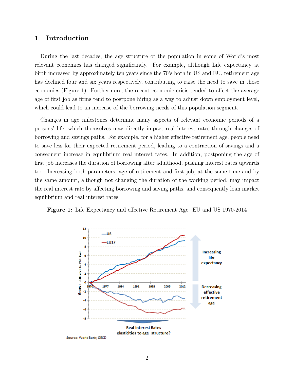# 1 Introduction

During the last decades, the age structure of the population in some of World's most relevant economies has changed significantly. For example, although Life expectancy at birth increased by approximately ten years since the 70's both in US and EU, retirement age has declined four and six years respectively, contributing to raise the need to save in those economies (Figure 1). Furthermore, the recent economic crisis tended to affect the average age of first job as firms tend to postpone hiring as a way to adjust down employment level, which could lead to an increase of the borrowing needs of this population segment.

Changes in age milestones determine many aspects of relevant economic periods of a persons' life, which themselves may directly impact real interest rates through changes of borrowing and savings paths. For example, for a higher effective retirement age, people need to save less for their expected retirement period, leading to a contraction of savings and a consequent increase in equilibrium real interest rates. In addition, postponing the age of first job increases the duration of borrowing after adulthood, pushing interest rates upwards too. Increasing both parameters, age of retirement and first job, at the same time and by the same amount, although not changing the duration of the working period, may impact the real interest rate by affecting borrowing and saving paths, and consequently loan market equilibrium and real interest rates.



Figure 1: Life Expectancy and effective Retirement Age: EU and US 1970-2014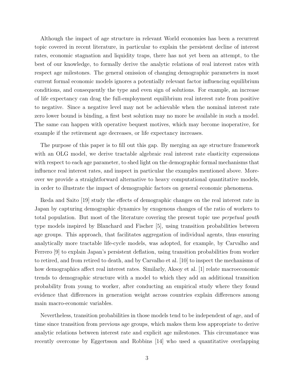Although the impact of age structure in relevant World economies has been a recurrent topic covered in recent literature, in particular to explain the persistent decline of interest rates, economic stagnation and liquidity traps, there has not yet been an attempt, to the best of our knowledge, to formally derive the analytic relations of real interest rates with respect age milestones. The general omission of changing demographic parameters in most current formal economic models ignores a potentially relevant factor influencing equilibrium conditions, and consequently the type and even sign of solutions. For example, an increase of life expectancy can drag the full-employment equilibrium real interest rate from positive to negative. Since a negative level may not be achievable when the nominal interest rate zero lower bound is binding, a first best solution may no more be available in such a model. The same can happen with operative bequest motives, which may become inoperative, for example if the retirement age decreases, or life expectancy increases.

The purpose of this paper is to fill out this gap. By merging an age structure framework with an OLG model, we derive tractable algebraic real interest rate elasticity expressions with respect to each age parameter, to shed light on the demographic formal mechanisms that influence real interest rates, and inspect in particular the examples mentioned above. Moreover we provide a straightforward alternative to heavy computational quantitative models, in order to illustrate the impact of demographic factors on general economic phenomena.

Ikeda and Saito [19] study the effects of demographic changes on the real interest rate in Japan by capturing demographic dynamics by exogenous changes of the ratio of workers to total population. But most of the literature covering the present topic use perpetual youth type models inspired by Blanchard and Fischer [5], using transition probabilities between age groups. This approach, that facilitates aggregation of individual agents, thus ensuring analytically more tractable life-cycle models, was adopted, for example, by Carvalho and Ferrero [9] to explain Japan's persistent deflation, using transition probabilities from worker to retired, and from retired to death, and by Carvalho et al. [10] to inspect the mechanisms of how demographics affect real interest rates. Similarly, Aksoy et al. [1] relate macroeconomic trends to demographic structure with a model to which they add an additional transition probability from young to worker, after conducting an empirical study where they found evidence that differences in generation weight across countries explain differences among main macro-economic variables.

Nevertheless, transition probabilities in those models tend to be independent of age, and of time since transition from previous age groups, which makes them less appropriate to derive analytic relations between interest rate and explicit age milestones. This circumstance was recently overcome by Eggertsson and Robbins [14] who used a quantitative overlapping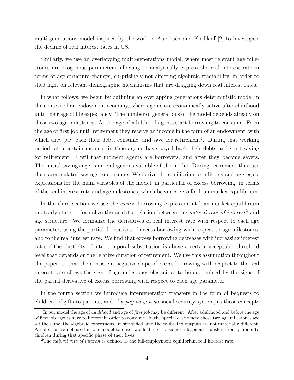multi-generations model inspired by the work of Auerbach and Kotlikoff [2] to investigate the decline of real interest rates in US.

Similarly, we use an overlapping multi-generations model, where most relevant age milestones are exogenous parameters, allowing to analytically express the real interest rate in terms of age structure changes, surprisingly not affecting algebraic tractability, in order to shed light on relevant demographic mechanisms that are dragging down real interest rates.

In what follows, we begin by outlining an overlapping generations deterministic model in the context of an endowment economy, where agents are economically active after childhood until their age of life expectancy. The number of generations of the model depends already on those two age milestones. At the age of adulthood agents start borrowing to consume. From the age of first job until retirement they receive an income in the form of an endowment, with which they pay back their debt, consume, and save for retirement<sup>1</sup>. During that working period, at a certain moment in time agents have payed back their debts and start saving for retirement. Until that moment agents are borrowers, and after they become savers. The initial savings age is an endogenous variable of the model. During retirement they use their accumulated savings to consume. We derive the equilibrium conditions and aggregate expressions for the main variables of the model, in particular of excess borrowing, in terms of the real interest rate and age milestones, which becomes zero for loan market equilibrium.

In the third section we use the excess borrowing expression at loan market equilibrium in steady state to formalize the analytic relation between the *natural rate of interest*<sup>2</sup> and age structure. We formalize the derivatives of real interest rate with respect to each age parameter, using the partial derivatives of excess borrowing with respect to age milestones, and to the real interest rate. We find that excess borrowing decreases with increasing interest rates if the elasticity of inter-temporal substitution is above a certain acceptable threshold level that depends on the relative duration of retirement. We use this assumption throughout the paper, so that the consistent negative slope of excess borrowing with respect to the real interest rate allows the sign of age milestones elasticities to be determined by the signs of the partial derivative of excess borrowing with respect to each age parameter.

In the fourth section we introduce intergeneration transfers in the form of bequests to children, of gifts to parents, and of a pay-as-you-go social security system, as those concepts

<sup>&</sup>lt;sup>1</sup>In our model the age of *adulthood* and age of *first job* may be different. After adulthood and before the age of first job agents have to borrow in order to consume. In the special case where those two age milestones are set the same, the algebraic expressions are simplified, and the calibrated outputs are not materially different. An alternative not used in our model to date, would be to consider endogenous transfers from parents to children during that specific phase of their lives.

<sup>&</sup>lt;sup>2</sup>The *natural rate of interest* is defined as the full-employment equilibrium real interest rate.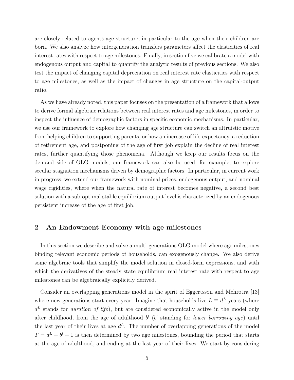are closely related to agents age structure, in particular to the age when their children are born. We also analyze how intergeneration transfers parameters affect the elasticities of real interest rates with respect to age milestones. Finally, in section five we calibrate a model with endogenous output and capital to quantify the analytic results of previous sections. We also test the impact of changing capital depreciation on real interest rate elasticities with respect to age milestones, as well as the impact of changes in age structure on the capital-output ratio.

As we have already noted, this paper focuses on the presentation of a framework that allows to derive formal algebraic relations between real interest rates and age milestones, in order to inspect the influence of demographic factors in specific economic mechanisms. In particular, we use our framework to explore how changing age structure can switch an altruistic motive from helping children to supporting parents, or how an increase of life-expectancy, a reduction of retirement age, and postponing of the age of first job explain the decline of real interest rates, further quantifying those phenomena. Although we keep our results focus on the demand side of OLG models, our framework can also be used, for example, to explore secular stagnation mechanisms driven by demographic factors. In particular, in current work in progress, we extend our framework with nominal prices, endogenous output, and nominal wage rigidities, where when the natural rate of interest becomes negative, a second best solution with a sub-optimal stable equilibrium output level is characterized by an endogenous persistent increase of the age of first job.

## 2 An Endowment Economy with age milestones

In this section we describe and solve a multi-generations OLG model where age milestones binding relevant economic periods of households, can exogenously change. We also derive some algebraic tools that simplify the model solution in closed-form expressions, and with which the derivatives of the steady state equilibrium real interest rate with respect to age milestones can be algebraically explicitly derived.

Consider an overlapping generations model in the spirit of Eggertsson and Mehrotra [13] where new generations start every year. Imagine that households live  $L \equiv d^L$  years (where  $d<sup>L</sup>$  stands for *duration of life*), but are considered economically active in the model only after childhood, from the age of adulthood  $b^l$  ( $b^l$  standing for *lower borrowing age*) until the last year of their lives at age  $d^L$ . The number of overlapping generations of the model  $T = d^L - b^l + 1$  is then determined by two age milestones, bounding the period that starts at the age of adulthood, and ending at the last year of their lives. We start by considering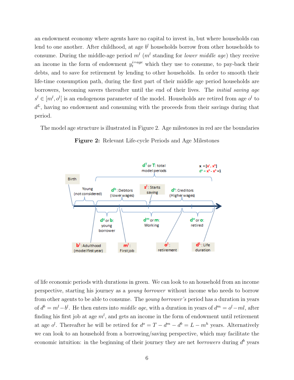an endowment economy where agents have no capital to invest in, but where households can lend to one another. After childhood, at age  $b<sup>l</sup>$  households borrow from other households to consume. During the middle-age period  $m^{l}$  ( $m^{l}$  standing for *lower middle age*) they receive an income in the form of endowment  $y_t^{i=age}$  which they use to consume, to pay-back their debts, and to save for retirement by lending to other households. In order to smooth their life-time consumption path, during the first part of their middle age period households are borrowers, becoming savers thereafter until the end of their lives. The initial saving age  $s^l \in [m^l, o^l]$  is an endogenous parameter of the model. Households are retired from age  $o^l$  to  $d^L$ , having no endowment and consuming with the proceeds from their savings during that period.

The model age structure is illustrated in Figure 2. Age milestones in red are the boundaries



Figure 2: Relevant Life-cycle Periods and Age Milestones

of life economic periods with durations in green. We can look to an household from an income perspective, starting his journey as a young borrower without income who needs to borrow from other agents to be able to consume. The young borrower's period has a duration in years of  $d^b = m^l - b^l$ . He then enters into *middle age*, with a duration in years of  $d^m = o^l - ml$ , after finding his first job at age  $m^l$ , and gets an income in the form of endowment until retirement at age  $o^l$ . Thereafter he will be retired for  $d^o = T - d^m - d^b = L - m^h$  years. Alternatively we can look to an household from a borrowing/saving perspective, which may facilitate the economic intuition: in the beginning of their journey they are net *borrowers* during  $d^b$  years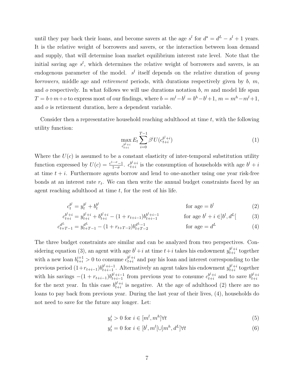until they pay back their loans, and become savers at the age  $s^l$  for  $d^s = d^L - s^l + 1$  years. It is the relative weight of borrowers and savers, or the interaction between loan demand and supply, that will determine loan market equilibrium interest rate level. Note that the initial saving age  $s^l$ , which determines the relative weight of borrowers and savers, is an endogenous parameter of the model.  $s<sup>l</sup>$  itself depends on the relative duration of young borrowers, middle age and retirement periods, with durations respectively given by  $b, m$ , and  $o$  respectively. In what follows we will use durations notation  $b$ ,  $m$  and model life span  $T = b+m+o$  to express most of our findings, where  $b = m^l - b^l = b^h - b^l + 1$ ,  $m = m^h - m^l + 1$ , and o is retirement duration, here a dependent variable.

Consider then a representative household reaching adulthood at time  $t$ , with the following utility function:

$$
\max_{c_{t+i}^{b^l+i}} E_t \sum_{i=0}^{T-1} \beta^i U(c_{t+i}^{b^l+i})
$$
\n(1)

Where the  $U(c)$  is assumed to be a constant elasticity of inter-temporal substitution utility function expressed by  $U(c) = \frac{c^{1-\sigma}-1}{1-\sigma}$  $rac{-\sigma-1}{1-\sigma}$ .  $c_{t+i}^{b^l+i}$  $t_{t+i}^{b'+i}$  is the consumption of households with age  $b^l + i$ at time  $t + i$ . Furthermore agents borrow and lend to one-another using one year risk-free bonds at an interest rate  $r_t$ . We can then write the annual budget constraints faced by an agent reaching adulthood at time t, for the rest of his life.

$$
c_t^{b^l} = y_t^{b^l} + b_t^{b^l} \tag{2}
$$

$$
c_{t+i}^{b^l+i} = y_{t+i}^{b^l+i} + b_{t+i}^{b^l+i} - (1 + r_{t+i-1})b_{t+i-1}^{b^l+i-1} \qquad \text{for age } b^l+i \in ]b^l, d^L[ \tag{3}
$$

$$
c_{t+T-1}^{d^L} = y_{t+T-1}^{d^L} - (1 + r_{t+T-2})b_{t+T-2}^{d^L-1}
$$
 for age =  $d^L$  (4)

The three budget constraints are similar and can be analyzed from two perspectives. Considering equation (3), an agent with age  $b^l + i$  at time  $t+i$  takes his endowment  $y_{t+i}^{b^l+i}$  $_{t+i}^{b^i + i}$  together with a new loan  $b_{t+i}^{i+1} > 0$  to consume  $c_{t+i}^{b^l+i}$  $t_{t+i}^{b'+i}$  and pay his loan and interest corresponding to the previous period  $(1+r_{t+i-1})b^{b^l+i-1}_{t+i-1}$  $b^{l+i-1}_{t+i-1}$ . Alternatively an agent takes his endowment  $y_{t+i}^{b^{l}+i}$  $_{t+i}^{b^i + i}$  together with his savings  $-(1 + r_{t+i-1})b_{t+i-1}^{b^{l}+i-1}$  $t^{b^l+i-1}_{t+i-1}$  from previous year to consume  $c^{b^l+i}_{t+i}$  $_{t+i}^{b^l+i}$  and to save  $b_{t+i}^{b^l+i}$  $t+i$ for the next year. In this case  $b_{t+i}^{b^l+i}$  $t_{t+i}^{b^*+i}$  is negative. At the age of adulthood (2) there are no loans to pay back from previous year. During the last year of their lives, (4), households do not need to save for the future any longer. Let:

$$
y_t^i > 0 \text{ for } i \in [m^l, m^h] \forall t \tag{5}
$$

$$
y_t^i = 0 \text{ for } i \in [b^l, m^l[\cup]m^h, d^L] \forall t
$$
 (6)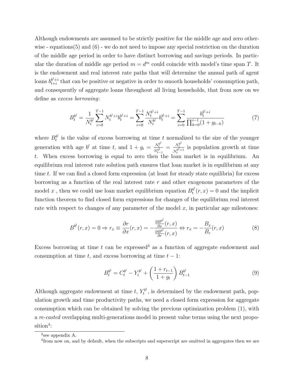Although endowments are assumed to be strictly positive for the middle age and zero otherwise - equations(5) and (6) - we do not need to impose any special restriction on the duration of the middle age period in order to have distinct borrowing and savings periods. In particular the duration of middle age period  $m = d^m$  could coincide with model's time span T. It is the endowment and real interest rate paths that will determine the annual path of agent loans  $b^{b^l+i}_{t+i}$  $t_{t+i}^{b'+i}$  that can be positive or negative in order to smooth households' consumption path, and consequently of aggregate loans throughout all living households, that from now on we define as excess borrowing:

$$
B_t^{b^l} = \frac{1}{N_t^{b^l}} \sum_{i=0}^{T-1} N_t^{b^l+i} b_t^{b^l+i} = \sum_{i=0}^{T-1} \frac{N_t^{b^l+i}}{N_t^{b^l}} b_t^{b^l+i} = \sum_{i=0}^{T-1} \frac{b_t^{b^l+i}}{\prod_{k=0}^{i-1} (1 + g_{t-k})}
$$
(7)

where  $B_t^{b^l}$  $t<sup>b</sup>$  is the value of excess borrowing at time t normalized to the size of the younger generation with age  $b^l$  at time t, and  $1 + g_t = \frac{N_t^{b^l}}{N_{t-1}^{b^l}} = \frac{N_t^{b^l}}{N_t^{b^{l+1}}}$  $\frac{N_t}{N_t^{bl+1}}$  is population growth at time t. When excess borrowing is equal to zero then the loan market is in equilibrium. An equilibrium real interest rate solution path ensures that loan market is in equilibrium at any time  $t$ . If we can find a closed form expression (at least for steady state equilibria) for excess borrowing as a function of the real interest rate  $r$  and other exogenous parameters of the model x, then we could use loan market equilibrium equation  $B_t^{b}$  $t^{b'}(r, x) = 0$  and the implicit function theorem to find closed form expressions for changes of the equilibrium real interest rate with respect to changes of any parameter of the model  $x$ , in particular age milestones:

$$
B^{b'}(r,x) = 0 \Rightarrow r_x \equiv \frac{\partial r}{\partial x}(r,x) = -\frac{\frac{\partial B^{b'}}{\partial x}(r,x)}{\frac{\partial B^{b'}}{\partial r}(r,x)} \Leftrightarrow r_x = -\frac{B_x}{B_r}(r,x)
$$
(8)

Excess borrowing at time  $t$  can be expressed<sup>3</sup> as a function of aggregate endowment and consumption at time t, and excess borrowing at time  $t - 1$ :

$$
B_t^{b^l} = C_t^{b^l} - Y_t^{b^l} + \left(\frac{1 + r_{t-1}}{1 + g_t}\right) B_{t-1}^{b^l}
$$
\n
$$
(9)
$$

Although aggregate endowment at time  $t, Y_t^{b'}$  $t<sub>t</sub><sup>t</sup>$ , is determined by the endowment path, population growth and time productivity paths, we need a closed form expression for aggregate consumption which can be obtained by solving the previous optimization problem (1), with a re-casted overlapping multi-generations model in present value terms using the next proposition<sup>4</sup>:

<sup>3</sup> see appendix A.

<sup>&</sup>lt;sup>4</sup> from now on, and by default, when the subscripts and superscript are omitted in aggregates then we are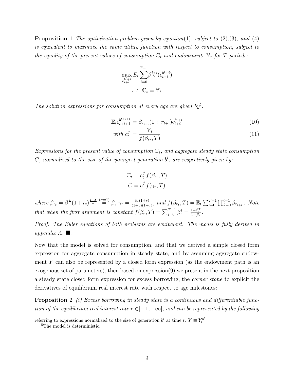**Proposition 1** The optimization problem given by equation(1), subject to  $(2),(3)$ , and  $(4)$ is equivalent to maximize the same utility function with respect to consumption, subject to the equality of the present values of consumption  $\mathbb{C}_t$  and endowments  $\mathbb{Y}_t$  for T periods:

$$
\max_{c_{t+i}^{b^l+i}} E_t \sum_{i=0}^{T-1} \beta^i U(c_{t+i}^{b^l+i})
$$
  
s.t.  $\mathbb{C}_t = \mathbb{Y}_t$ 

The solution expressions for consumption at every age are given  $by^5$ .

$$
\mathbb{E}_{t}c_{t+i+1}^{b^{l+i+1}} = \beta_{r_{t+i}}(1+r_{t+i})c_{t+i}^{b^{l}+i}
$$
\n(10)

with 
$$
c_t^{b^l} = \frac{\mathbb{Y}_t}{f(\beta_{r_t}, T)}
$$
 (11)

Expressions for the present value of consumption  $\mathbb{C}_t$ , and aggregate steady state consumption C, normalized to the size of the youngest generation  $b^{l}$ , are respectively given by:

$$
\mathbb{C}_t = c_t^{b^l} f(\beta_{r_t}, T)
$$

$$
C = c^{b^l} f(\gamma_r, T)
$$

where  $\beta_{r_t} = \beta^{\frac{1}{\sigma}}(1+r_t)^{\frac{1-\sigma}{\sigma}} \stackrel{(\sigma=1)}{=} \beta, \ \gamma_r = \frac{\beta_r(1+r)}{(1+\sigma)(1+r)}$  $\frac{\beta_r(1+r)}{(1+g)(1+z)}$ , and  $f(\beta_{r_t}, T) = \mathbb{E}_t \sum_{i=0}^{T-1} \prod_{k=0}^{i-1} \beta_{r_{t+k}}$ . Note that when the first argument is constant  $f(\beta_r, T) = \sum_{i=0}^{T-1} \beta_r^i = \frac{1-\beta_r^T}{1-\beta_r}.$ 

Proof: The Euler equations of both problems are equivalent. The model is fully derived in appendix  $A$ .  $\blacksquare$ .

Now that the model is solved for consumption, and that we derived a simple closed form expression for aggregate consumption in steady state, and by assuming aggregate endowment Y can also be represented by a closed form expression (as the endowment path is an exogenous set of parameters), then based on expression(9) we present in the next proposition a steady state closed form expression for excess borrowing, the corner stone to explicit the derivatives of equilibrium real interest rate with respect to age milestones:

Proposition 2 (i) Excess borrowing in steady state is a continuous and differentiable function of the equilibrium real interest rate  $r \in ]-1, +\infty[$ , and can be represented by the following

referring to expressions normalized to the size of generation  $b^l$  at time t:  $Y \equiv Y_t^{b^l}$ .

<sup>&</sup>lt;sup>5</sup>The model is deterministic.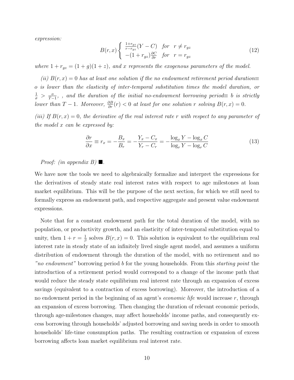expression:

$$
B(r,x) \begin{cases} \frac{1+r_{gz}}{r-r_{gz}}(Y-C) & \text{for } r \neq r_{gz} \\ -(1+r_{gz})\frac{\partial C}{\partial r} & \text{for } r=r_{gz} \end{cases}
$$
(12)

where  $1 + r_{gz} = (1 + g)(1 + z)$ , and x represents the exogenous parameters of the model.

(ii)  $B(r, x) = 0$  has at least one solution if the no endowment retirement period duration≡ o is lower than the elasticity of inter-temporal substitution times the model duration, or  $\frac{1}{\sigma}$  >  $\frac{o}{T-1}$ , , and the duration of the initial no-endowment borrowing period $\equiv$  b is strictly lower than  $T-1$ . Moreover,  $\frac{\partial B}{\partial r}(r) < 0$  at least for one solution r solving  $B(r, x) = 0$ .

(iii) If  $B(r, x) = 0$ , the derivative of the real interest rate r with respect to any parameter of the model  $x$  can be expressed by:

$$
\frac{\partial r}{\partial x} \equiv r_x = -\frac{B_x}{B_r} = -\frac{Y_x - C_x}{Y_r - C_r} = -\frac{\log_x Y - \log_x C}{\log_r Y - \log_r C} \tag{13}
$$

### *Proof:* (in appendix B)  $\blacksquare$ .

We have now the tools we need to algebraically formalize and interpret the expressions for the derivatives of steady state real interest rates with respect to age milestones at loan market equilibrium. This will be the purpose of the next section, for which we still need to formally express an endowment path, and respective aggregate and present value endowment expressions.

Note that for a constant endowment path for the total duration of the model, with no population, or productivity growth, and an elasticity of inter-temporal substitution equal to unity, then  $1 + r = \frac{1}{\beta}$  $\frac{1}{\beta}$  solves  $B(r, x) = 0$ . This solution is equivalent to the equilibrium real interest rate in steady state of an infinitely lived single agent model, and assumes a uniform distribution of endowment through the duration of the model, with no retirement and no "no endowment" borrowing period b for the young households. From this starting point the introduction of a retirement period would correspond to a change of the income path that would reduce the steady state equilibrium real interest rate through an expansion of excess savings (equivalent to a contraction of excess borrowing). Moreover, the introduction of a no endowment period in the beginning of an agent's *economic life* would increase  $r$ , through an expansion of excess borrowing. Then changing the duration of relevant economic periods, through age-milestones changes, may affect households' income paths, and consequently excess borrowing through households' adjusted borrowing and saving needs in order to smooth households' life-time consumption paths. The resulting contraction or expansion of excess borrowing affects loan market equilibrium real interest rate.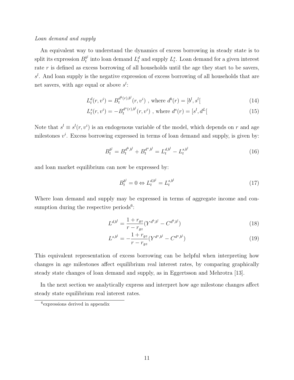#### Loan demand and supply

An equivalent way to understand the dynamics of excess borrowing in steady state is to split its expression  $B_t^{b^l}$  $t_t^{b}$  into loan demand  $L_t^d$  and supply  $L_t^s$ . Loan demand for a given interest rate  $r$  is defined as excess borrowing of all households until the age they start to be savers,  $s<sup>l</sup>$ . And loan supply is the negative expression of excess borrowing of all households that are net savers, with age equal or above  $s^l$ :

$$
L_t^d(r, v^i) = B_t^{d^b(r), b^l}(r, v^i) \text{ , where } d^b(r) = [b^l, s^l] \tag{14}
$$

$$
L_t^s(r, v^i) = -B_t^{d^s(r), b^l}(r, v^i) \text{ , where } d^s(r) = [s^l, d^L[
$$
 (15)

Note that  $s^l \equiv s^l(r, v^i)$  is an endogenous variable of the model, which depends on r and age milestones  $v^i$ . Excess borrowing expressed in terms of loan demand and supply, is given by:

$$
B_t^{b^l} = B_t^{d^b, b^l} + B_t^{d^s, b^l} = L_t^{d, b^l} - L_t^{s, b^l}
$$
\n(16)

and loan market equilibrium can now be expressed by:

$$
B_t^{b^l} = 0 \Leftrightarrow L_t^{d,b^l} = L_t^{s,b^l} \tag{17}
$$

Where loan demand and supply may be expressed in terms of aggregate income and consumption during the respective periods<sup>6</sup>:

$$
L^{d,b^l} = \frac{1 + r_{gz}}{r - r_{gz}} (Y^{d^b, b^l} - C^{d^b, b^l})
$$
\n(18)

$$
L^{s,b^l} = -\frac{1 + r_{gz}}{r - r_{gz}} (Y^{d^s, b^l} - C^{d^s, b^l})
$$
\n(19)

This equivalent representation of excess borrowing can be helpful when interpreting how changes in age milestones affect equilibrium real interest rates, by comparing graphically steady state changes of loan demand and supply, as in Eggertsson and Mehrotra [13].

In the next section we analytically express and interpret how age milestone changes affect steady state equilibrium real interest rates.

<sup>6</sup> expressions derived in appendix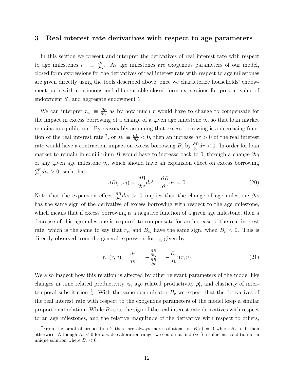#### 3 Real interest rate derivatives with respect to age parameters

In this section we present and interpret the derivatives of real interest rate with respect to age milestones  $r_{v_i} \equiv \frac{\partial r}{\partial v_i}$  $\frac{\partial r}{\partial v_i}$ . As age milestones are exogenous parameters of our model, closed form expressions for the derivatives of real interest rate with respect to age milestones are given directly using the tools described above, once we characterize households' endowment path with continuous and differentiable closed form expressions for present value of endowment  $Y$ , and aggregate endowment Y.

We can interpret  $r_{v_i} \equiv \frac{\partial r}{\partial v_i}$  $\frac{\partial r}{\partial v_i}$  as by how much r would have to change to compensate for the impact in excess borrowing of a change of a given age milestone  $v_i$ , so that loan market remains in equilibrium. By reasonably assuming that excess borrowing is a decreasing function of the real interest rate <sup>7</sup>, or  $B_r \equiv \frac{\partial B}{\partial r} < 0$ , then an increase  $dr > 0$  of the real interest rate would have a contraction impact on excess borrowing B, by  $\frac{\partial B}{\partial r}dr < 0$ . In order for loan market to remain in equilibrium B would have to increase back to 0, through a change  $\partial v_i$ of any given age milestone  $v_i$ , which should have an expansion effect on excess borrowing ∂B  $\frac{\partial B}{\partial v_i}dv_i > 0$ , such that:

$$
dB(r, v_i) = \frac{\partial B}{\partial v^i} dv^i + \frac{\partial B}{\partial r} dr = 0
$$
\n(20)

Note that the expansion effect  $\frac{\partial B}{\partial v_i}dv_i > 0$  implies that the change of age milestone  $\partial v_i$ has the same sign of the derivative of excess borrowing with respect to the age milestone, which means that if excess borrowing is a negative function of a given age milestone, then a decrease of this age milestone is required to compensate for an increase of the real interest rate, which is the same to say that  $r_{v_i}$  and  $B_{v_i}$  have the same sign, when  $B_r < 0$ . This is directly observed from the general expression for  $r_{v_i}$  given by:

$$
r_{v^i}(r,v) = \frac{dr}{dv^i} = -\frac{\frac{\partial B}{\partial v_i}}{\frac{\partial B}{\partial r}} = -\frac{B_{v_i}}{B_r}(r,v)
$$
\n(21)

We also inspect how this relation is affected by other relevant parameters of the model like changes in time related productivity  $z_t$ , age related productivity  $\rho_t^i$ , and elasticity of intertemporal substitution  $\frac{1}{\sigma}$ . With the same denominator  $B_r$  we expect that the derivatives of the real interest rate with respect to the exogenous parameters of the model keep a similar proportional relation. While  $B_v$  sets the sign of the real interest rate derivatives with respect to an age milestones, and the relative magnitude of the derivative with respect to others,

<sup>&</sup>lt;sup>7</sup>From the proof of proposition 2 there are always more solutions for  $B(r) = 0$  where  $B<sub>r</sub> < 0$  than otherwise. Although  $B_r < 0$  for a wide calibration range, we could not find (yet) a sufficient condition for a unique solution where  $B_r < 0$ .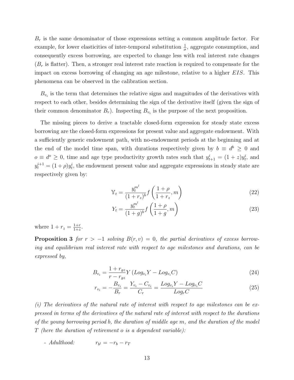$B_r$  is the same denominator of those expressions setting a common amplitude factor. For example, for lower elasticities of inter-temporal substitution  $\frac{1}{\sigma}$ , aggregate consumption, and consequently excess borrowing, are expected to change less with real interest rate changes  $(B<sub>r</sub>$  is flatter). Then, a stronger real interest rate reaction is required to compensate for the impact on excess borrowing of changing an age milestone, relative to a higher EIS. This phenomena can be observed in the calibration section.

 $B_{v_i}$  is the term that determines the relative signs and magnitudes of the derivatives with respect to each other, besides determining the sign of the derivative itself (given the sign of their common denominator  $B_r$ ). Inspecting  $B_{v_i}$  is the purpose of the next proposition.

The missing pieces to derive a tractable closed-form expression for steady state excess borrowing are the closed-form expressions for present value and aggregate endowment. With a sufficiently generic endowment path, with no-endowment periods at the beginning and at the end of the model time span, with durations respectively given by  $b \equiv d^b \geq 0$  and  $o \equiv d^o \geq 0$ , time and age type productivity growth rates such that  $y_{t+1}^i = (1+z)y_t^i$ , and  $y_t^{i+1} = (1+\rho)y_t^i$ , the endowment present value and aggregate expressions in steady state are respectively given by:

$$
\mathbb{Y}_t = \frac{y_t^{m^l}}{(1+r_z)^b} f\left(\frac{1+\rho}{1+r_z}, m\right) \tag{22}
$$

$$
Y_t = \frac{y_t^{m^l}}{(1+g)^b} f\left(\frac{1+\rho}{1+g}, m\right)
$$
 (23)

where  $1 + r_z = \frac{1+r}{1+z}$  $\frac{1+r}{1+z}$ .

**Proposition 3** for  $r > -1$  solving  $B(r, v) = 0$ , the partial derivatives of excess borrowing and equilibrium real interest rate with respect to age milestones and durations, can be expressed by,

$$
B_{v_i} = \frac{1 + r_{gz}}{r - r_{gz}} Y (Log_{v_i} Y - Log_{v_i} C)
$$
\n(24)

$$
r_{v_i} = -\frac{B_{v_i}}{B_r} = \frac{Y_{v_i} - C_{v_i}}{C_r} = \frac{Log_{v_i}Y - Log_{v_i}C}{Log_rC}
$$
\n(25)

(i) The derivatives of the natural rate of interest with respect to age milestones can be expressed in terms of the derivatives of the natural rate of interest with respect to the durations of the young borrowing period b, the duration of middle age m, and the duration of the model T (here the duration of retirement o is a dependent variable):

 $-$  Adulthood:  $r_{b} = -r_b - r_T$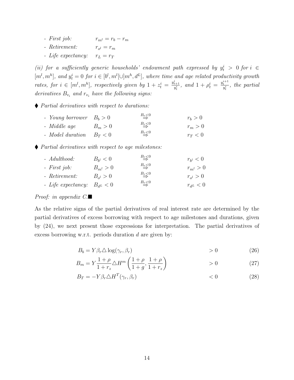- First job:  $r_{m} = r_b r_m$
- Retirement:  $r_{o^l} = r_m$
- Life expectancy:  $r_L = r_T$

(ii) for a sufficiently generic households' endowment path expressed by  $y_t^i > 0$  for  $i \in$  $[m^l, m^h]$ , and  $y_t^i = 0$  for  $i \in [b^l, m^l] \cup [m^h, d^L]$ , where time and age related productivity growth rates, for  $i \in [m^l, m^h]$ , respectively given by  $1 + z_t^i = \frac{y_{t+1}^i}{y_t^i}$ , and  $1 + \rho_t^i = \frac{y_t^{i+1}}{y_t^i}$ , the partial derivatives  $B_{v_i}$  and  $r_{v_i}$  have the following signs:

Partial derivatives with respect to durations:

| - Young borrower $B_b > 0$ |           | $B_{\underline{r}}\leq 0$ | $r_b > 0$ |
|----------------------------|-----------|---------------------------|-----------|
| - Middle age               | $B_m > 0$ | $B_{\underline{r}}\leq 0$ | $r_m>0$   |
| - Model duration $B_T < 0$ |           | $B_{\underline{r}}\leq 0$ | $r_T < 0$ |

Partial derivatives with respect to age milestones:

| - Adulthood:                     | $B_{b^l} < 0$    | $B_{\underline{r}}\leq 0$ | $r_{b^l} < 0$ |
|----------------------------------|------------------|---------------------------|---------------|
| $- First job:$                   | $B_{m^l} > 0$    | $B_{\underline{r}}\leq 0$ | $r_{m}$ $> 0$ |
| - Retirement:                    | $B_{\rho l} > 0$ | $B_{\underline{r}}\leq 0$ | $r_{o}$ > 0   |
| - Life expectancy: $B_{d^L} < 0$ |                  | $B_{\underline{r}}\leq 0$ | $r_{d^L} < 0$ |

### *Proof:* in appendix  $C.\blacksquare$

As the relative signs of the partial derivatives of real interest rate are determined by the partial derivatives of excess borrowing with respect to age milestones and durations, given by (24), we next present those expressions for interpretation. The partial derivatives of excess borrowing w.r.t. periods duration d are given by:

$$
B_b = Y \beta_r \Delta \log(\gamma_r, \beta_r) > 0 \tag{26}
$$

$$
B_m = Y \frac{1+\rho}{1+r_z} \Delta H^m \left(\frac{1+\rho}{1+g}, \frac{1+\rho}{1+r_z}\right) > 0
$$
 (27)

$$
B_T = -Y\beta_r \triangle H^T(\gamma_r, \beta_r) \tag{28}
$$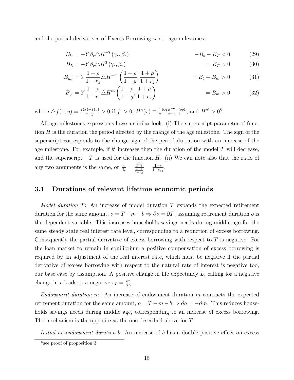and the partial derivatives of Excess Borrowing w.r.t. age milestones:

$$
B_{b'} = -Y\beta_r \triangle H^{-T}(\gamma_r, \beta_r) \qquad \qquad = -B_b - B_T < 0 \tag{29}
$$

$$
B_L = -Y\beta_r \triangle H^T(\gamma_r, \beta_r) = B_T < 0 \tag{30}
$$

$$
B_{m} = Y \frac{1+\rho}{1+r_z} \Delta H^{-m} \left( \frac{1+\rho}{1+g}, \frac{1+\rho}{1+r_z} \right) = B_b - B_m > 0 \tag{31}
$$

$$
B_{o^l} = Y \frac{1+\rho}{1+r_z} \Delta H^m \left( \frac{1+\rho}{1+g}, \frac{1+\rho}{1+r_z} \right) = B_m > 0 \tag{32}
$$

where  $\triangle f(x, y) = \frac{f(x) - f(y)}{x - y} > 0$  if  $f' > 0$ ;  $H^a(x) \equiv \frac{1}{a}$ a  $\log x^{-a} - log1$  $\frac{x^{-a}-log1}{x^{-a}-1}$ , and  $H^{a'} > 0^8$ .

All age-milestones expressions have a similar look. (i) The superscript parameter of function  $H$  is the duration the period affected by the change of the age milestone. The sign of the superscript corresponds to the change sign of the period durtation with an increase of the age milestone. For example, if  $b^l$  increases then the duration of the model T will decrease, and the superscript  $-T$  is used for the function H. (ii) We can note also that the ratio of any two arguments is the same, or  $\frac{\gamma_r}{\beta_r} = \frac{\frac{1+\rho}{1+\rho}}{\frac{1+\rho}{1+r_z}} = \frac{1+r}{1+r_g}$  $\frac{1+r}{1+r_{gz}}$ .

## 3.1 Durations of relevant lifetime economic periods

*Model duration*  $T$ : An increase of model duration  $T$  expands the expected retirement duration for the same amount,  $o = T - m - b \Rightarrow \partial o = \partial T$ , assuming retirement duration o is the dependent variable. This increases households savings needs during middle age for the same steady state real interest rate level, corresponding to a reduction of excess borrowing. Consequently the partial derivative of excess borrowing with respect to  $T$  is negative. For the loan market to remain in equilibrium a positive compensation of excess borrowing is required by an adjustment of the real interest rate, which must be negative if the partial derivative of excess borrowing with respect to the natural rate of interest is negative too, our base case by assumption. A positive change in life expectancy  $L$ , calling for a negative change in r leads to a negative  $r_L = \frac{\partial r}{\partial L}$ .

Endowment duration m: An increase of endowment duration m contracts the expected retirement duration for the same amount,  $o = T - m - b \Rightarrow \partial o = -\partial m$ . This reduces households savings needs during middle age, corresponding to an increase of excess borrowing. The mechanism is the opposite as the one described above for T.

Initial no-endowment duration b: An increase of b has a double positive effect on excess

<sup>8</sup> see proof of proposition 3.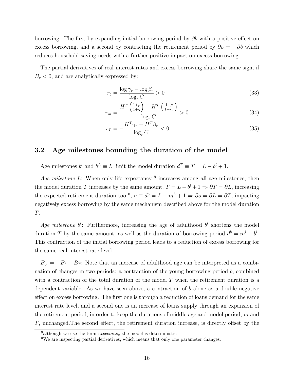borrowing. The first by expanding initial borrowing period by  $\partial b$  with a positive effect on excess borrowing, and a second by contracting the retirement period by  $\partial o = -\partial b$  which reduces household saving needs with a further positive impact on excess borrowing.

The partial derivatives of real interest rates and excess borrowing share the same sign, if  $B_r < 0$ , and are analytically expressed by:

$$
r_b = \frac{\log \gamma_r - \log \beta_r}{\log_r C} > 0
$$
\n(33)

$$
r_m = \frac{H^T \left(\frac{1+\rho}{1+g}\right) - H^T \left(\frac{1+\rho}{1+r_z}\right)}{\log_r C} > 0
$$
\n(34)

$$
r_T = -\frac{H^T \gamma_r - H^T \beta_r}{\log_r C} < 0 \tag{35}
$$

# 3.2 Age milestones bounding the duration of the model

Age milestones  $b^l$  and  $b^L \equiv L$  limit the model duration  $d^T \equiv T = L - b^l + 1$ .

Age milestone L: When only life expectancy  $9$  increases among all age milestones, then the model duration T increases by the same amount,  $T = L - b^l + 1 \Rightarrow \partial T = \partial L$ , increasing the expected retirement duration too<sup>10</sup>,  $o \equiv d^o = L - m^h + 1 \Rightarrow \partial o = \partial L = \partial T$ , impacting negatively excess borrowing by the same mechanism described above for the model duration T.

Age milestone  $b^l$ : Furthermore, increasing the age of adulthood  $b^l$  shortens the model duration T by the same amount, as well as the duration of borrowing period  $d^b = m^l - b^l$ . This contraction of the initial borrowing period leads to a reduction of excess borrowing for the same real interest rate level.

 $B_{b} = -B_b - B_T$ : Note that an increase of adulthood age can be interpreted as a combination of changes in two periods: a contraction of the young borrowing period b, combined with a contraction of the total duration of the model  $T$  when the retirement duration is a dependent variable. As we have seen above, a contraction of  $b$  alone as a double negative effect on excess borrowing. The first one is through a reduction of loans demand for the same interest rate level, and a second one is an increase of loans supply through an expansion of the retirement period, in order to keep the durations of middle age and model period,  $m$  and T, unchanged.The second effect, the retirement duration increase, is directly offset by the

<sup>&</sup>lt;sup>9</sup>although we use the term *expectancy* the model is deterministic

<sup>10</sup>We are inspecting partial derivatives, which means that only one parameter changes.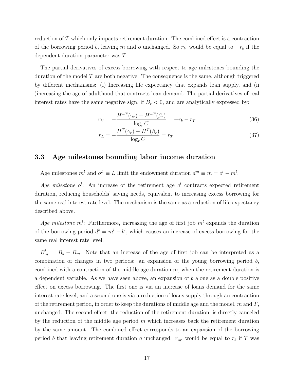reduction of T which only impacts retirement duration. The combined effect is a contraction of the borrowing period b, leaving m and o unchanged. So  $r_{b}$  would be equal to  $-r_b$  if the dependent duration parameter was T.

The partial derivatives of excess borrowing with respect to age milestones bounding the duration of the model  $T$  are both negative. The consequence is the same, although triggered by different mechanisms: (i) Increasing life expectancy that expands loan supply, and (ii )increasing the age of adulthood that contracts loan demand. The partial derivatives of real interest rates have the same negative sign, if  $B_r < 0$ , and are analytically expressed by:

$$
r_{b} = -\frac{H^{-T}(\gamma_r) - H^{-T}(\beta_r)}{\log_r C} = -r_b - r_T \tag{36}
$$

$$
r_L = -\frac{H^T(\gamma_r) - H^T(\beta_r)}{\log_r C} = r_T \tag{37}
$$

## 3.3 Age milestones bounding labor income duration

Age milestones  $m^l$  and  $o^L \equiv L$  limit the endowment duration  $d^m \equiv m = o^l - m^l$ .

Age milestone  $o^l$ : An increase of the retirement age  $o^l$  contracts expected retirement duration, reducing households' saving needs, equivalent to increasing excess borrowing for the same real interest rate level. The mechanism is the same as a reduction of life expectancy described above.

Age milestone  $m<sup>l</sup>$ : Furthermore, increasing the age of first job  $m<sup>l</sup>$  expands the duration of the borrowing period  $d^b = m^l - b^l$ , which causes an increase of excess borrowing for the same real interest rate level.

 $B_m^l = B_b - B_m$ : Note that an increase of the age of first job can be interpreted as a combination of changes in two periods: an expansion of the young borrowing period b, combined with a contraction of the middle age duration  $m$ , when the retirement duration is a dependent variable. As we have seen above, an expansion of  $b$  alone as a double positive effect on excess borrowing. The first one is via an increase of loans demand for the same interest rate level, and a second one is via a reduction of loans supply through an contraction of the retirement period, in order to keep the durations of middle age and the model, m and  $T$ . unchanged. The second effect, the reduction of the retirement duration, is directly canceled by the reduction of the middle age period  $m$  which increases back the retirement duration by the same amount. The combined effect corresponds to an expansion of the borrowing period b that leaving retirement duration o unchanged.  $r_{m}$  would be equal to  $r_b$  if T was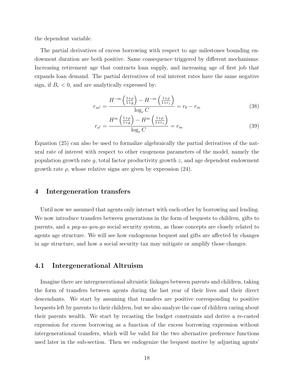the dependent variable.

The partial derivatives of excess borrowing with respect to age milestones bounding endowment duration are both positive. Same consequence triggered by different mechanisms: Increasing retirement age that contracts loan supply, and increasing age of first job that expands loan demand. The partial derivatives of real interest rates have the same negative sign, if  $B_r < 0$ , and are analytically expressed by:

$$
r_{m} = \frac{H^{-m}\left(\frac{1+\rho}{1+g}\right) - H^{-m}\left(\frac{1+\rho}{1+r_z}\right)}{\log_r C} = r_b - r_m \tag{38}
$$

$$
r_{o^l} = \frac{H^m \left(\frac{1+\rho}{1+g}\right) - H^m \left(\frac{1+\rho}{1+r_z}\right)}{\log_r C} = r_m \tag{39}
$$

Equation (25) can also be used to formalize algebraically the partial derivatives of the natural rate of interest with respect to other exogenous parameters of the model, namely the population growth rate  $g$ , total factor productivity growth  $z$ , and age dependent endowment growth rate  $\rho$ , whose relative signs are given by expression (24).

## 4 Intergeneration transfers

Until now we assumed that agents only interact with each-other by borrowing and lending. We now introduce transfers between generations in the form of bequests to children, gifts to parents, and a pay-as-you-go social security system, as those concepts are closely related to agents age structure. We will see how endogenous bequest and gifts are affected by changes in age structure, and how a social security tax may mitigate or amplify those changes.

#### 4.1 Intergenerational Altruism

Imagine there are intergenerational altruistic linkages between parents and children, taking the form of transfers between agents during the last year of their lives and their direct descendants. We start by assuming that transfers are positive corresponding to positive bequests left by parents to their children, but we also analyze the case of children caring about their parents wealth. We start by recasting the budget constraints and derive a re-casted expression for excess borrowing as a function of the excess borrowing expression without intergenerational transfers, which will be valid for the two alternative preference functions used later in the sub-section. Then we endogenize the bequest motive by adjusting agents'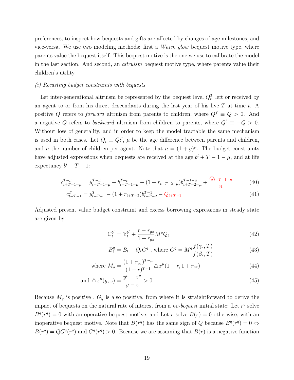preferences, to inspect how bequests and gifts are affected by changes of age milestones, and vice-versa. We use two modeling methods: first a Warm glow bequest motive type, where parents value the bequest itself. This bequest motive is the one we use to calibrate the model in the last section. And second, an *altruism* bequest motive type, where parents value their children's utility.

#### (i) Recasting budget constraints with bequests

Let inter-generational altruism be represented by the bequest level  $Q_t^T$  left or received by an agent to or from his direct descendants during the last year of his live  $T$  at time  $t$ . A positive Q refers to *forward* altruism from parents to children, where  $Q^f \equiv Q > 0$ . And a negative Q refers to backward altruism from children to parents, where  $Q^b \equiv -Q > 0$ . Without loss of generality, and in order to keep the model tractable the same mechanism is used in both cases. Let  $Q_t \equiv Q_t^T$ ,  $\mu$  be the age difference between parents and children, and *n* the number of children per agent. Note that  $n = (1 + g)^{\mu}$ . The budget constraints have adjusted expressions when bequests are received at the age  $b^{l} + T - 1 - \mu$ , and at life expectancy  $b^{l} + T - 1$ :

$$
c_{t+T-1-\mu}^{T-\mu} = y_{t+T-1-\mu}^{T-\mu} + b_{t+T-1-\mu}^{T-\mu} - (1 + r_{t+T-2-\mu})b_{t+T-2-\mu}^{T-1-\mu} + \frac{Q_{t+T-1-\mu}}{n}
$$
(40)

$$
c_{t+T-1}^T = y_{t+T-1}^T - (1 + r_{t+T-2})b_{t+T-2}^{T-1} - Q_{t+T-1}
$$
\n
$$
(41)
$$

Adjusted present value budget constraint and excess borrowing expressions in steady state are given by:

$$
\mathbb{C}_t^{b^l} = \mathbb{Y}_t^{b^l} + \frac{r - r_{gz}}{1 + r_{gz}} M^q Q_t \tag{42}
$$

$$
B_t^q = B_t - Q_t G^q \text{ , where } G^q = M^q \frac{f(\gamma_r, T)}{f(\beta_r, T)}
$$
(43)

where 
$$
M_q = \frac{(1+r_{gz})^{T-\mu}}{(1+r)^{T-1}} \Delta x^{\mu} (1+r, 1+r_{gz})
$$
 (44)

and 
$$
\Delta x^{\mu}(y, z) = \frac{y^{\mu} - z^{\mu}}{y - z} > 0
$$
\n(45)

Because  $M_q$  is positive,  $G_q$  is also positive, from where it is straightforward to derive the impact of bequests on the natural rate of interest from a *no-bequest* initial state: Let  $r<sup>q</sup>$  solve  $B^{q}(r^{q}) = 0$  with an operative bequest motive, and Let r solve  $B(r) = 0$  otherwise, with an inoperative bequest motive. Note that  $B(r^q)$  has the same sign of Q because  $B^q(r^q) = 0 \Leftrightarrow$  $B(r^q) = QG^q(r^q)$  and  $G^q(r^q) > 0$ . Because we are assuming that  $B(r)$  is a negative function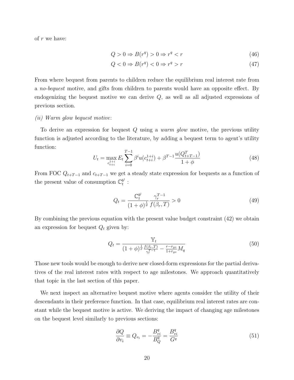of r we have:

$$
Q > 0 \Rightarrow B(r^q) > 0 \Rightarrow r^q < r \tag{46}
$$

$$
Q < 0 \Rightarrow B(r^q) < 0 \Rightarrow r^q > r \tag{47}
$$

From where bequest from parents to children reduce the equilibrium real interest rate from a no-bequest motive, and gifts from children to parents would have an opposite effect. By endogenizing the bequest motive we can derive  $Q$ , as well as all adjusted expressions of previous section.

#### (ii) Warm glow bequest motive:

To derive an expression for bequest Q using a warm glow motive, the previous utility function is adjusted according to the literature, by adding a bequest term to agent's utility function:  $T^{-1}$ 

$$
U_t = \max_{\substack{c_{t+i}^{1+i} \\ t_i \neq i}} E_t \sum_{i=0}^{T-1} \beta^i u(c_{t+i}^{1+i}) + \beta^{T-1} \frac{u(Q_{t+T-1}^T)}{1+\phi} \tag{48}
$$

From FOC  $Q_{t+T-1}$  and  $c_{t+T-1}$  we get a steady state expression for bequests as a function of the present value of consumption  $\mathbb{C}_t^{b^l}$ t :

$$
Q_t = \frac{\mathbb{C}_t^{b^l}}{(1+\phi)^{\frac{1}{\sigma}} \int f(\beta_r, T)} > 0
$$
\n(49)

By combining the previous equation with the present value budget constraint (42) we obtain an expression for bequest  $Q_t$  given by:

$$
Q_t = \frac{\mathbb{Y}_t}{(1+\phi)^{\frac{1}{\sigma}\frac{f(\beta_r,T)}{\gamma_r^{r-1}} - \frac{r-r_{gz}}{1+r_{gz}}M_q}
$$
(50)

Those new tools would be enough to derive new closed-form expressions for the partial derivatives of the real interest rates with respect to age milestones. We approach quantitatively that topic in the last section of this paper.

We next inspect an alternative bequest motive where agents consider the utility of their descendants in their preference function. In that case, equilibrium real interest rates are constant while the bequest motive is active. We deriving the impact of changing age milestones on the bequest level similarly to previous sections:

$$
\frac{\partial Q}{\partial v_i} \equiv Q_{v_i} = -\frac{B_{vi}^q}{B_Q^q} = \frac{B_{vi}^q}{G^q}
$$
\n(51)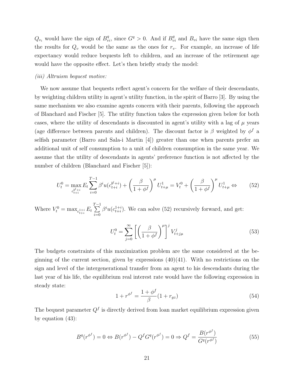$Q_{v_i}$  would have the sign of  $B_{vi}^q$ , since  $G^q > 0$ . And if  $B_{vi}^q$  and  $B_{vi}$  have the same sign then the results for  $Q_v$  would be the same as the ones for  $r_v$ . For example, an increase of life expectancy would reduce bequests left to children, and an increase of the retirement age would have the opposite effect. Let's then briefly study the model:

#### (iii) Altruism bequest motive:

We now assume that bequests reflect agent's concern for the welfare of their descendants, by weighting children utility in agent's utility function, in the spirit of Barro [3]. By using the same mechanism we also examine agents concern with their parents, following the approach of Blanchard and Fischer [5]. The utility function takes the expression given below for both cases, where the utility of descendants is discounted in agent's utility with a lag of  $\mu$  years (age difference between parents and children). The discount factor is  $\beta$  weighted by  $\phi^f$  a selfish parameter (Barro and Sala-i Martin [4]) greater than one when parents prefer an additional unit of self consumption to a unit of children consumption in the same year. We assume that the utility of descendants in agents' preference function is not affected by the number of children (Blanchard and Fischer [5]):

$$
U_t^0 = \max_{c_{t+i}^{b^l+i}} E_t \sum_{i=0}^{T-1} \beta^i u(c_{t+i}^{b^l+i}) + \left(\frac{\beta}{1+\phi^f}\right)^{\mu} U_{t+\mu}^1 = V_t^0 + \left(\frac{\beta}{1+\phi^f}\right)^{\mu} U_{t+\mu}^1 \Leftrightarrow \qquad (52)
$$

Where  $V_t^0 = \max_{c_{t+i}^{1+i}} E_t$  $\sum^{T-1}$  $i=0$  $\beta^{i}u(c_{t+i}^{1+i})$  $_{t+i}^{1+i}$ ). We can solve (52) recursively forward, and get:

$$
U_t^0 = \sum_{j=0}^{\infty} \left[ \left( \frac{\beta}{1 + \phi^f} \right)^{\mu} \right]^j V_{t+j\mu}^j \tag{53}
$$

The budgets constraints of this maximization problem are the same considered at the beginning of the current section, given by expressions  $(40)(41)$ . With no restrictions on the sign and level of the intergenerational transfer from an agent to his descendants during the last year of his life, the equilibrium real interest rate would have the following expression in steady state:

$$
1 + r^{\phi^f} = \frac{1 + \phi^f}{\beta} (1 + r_{gz})
$$
\n(54)

The bequest parameter  $Q^f$  is directly derived from loan market equilibrium expression given by equation (43):

$$
B^{q}(r^{\phi^{f}}) = 0 \Leftrightarrow B(r^{\phi^{f}}) - Q^{f}G^{q}(r^{\phi^{f}}) = 0 \Rightarrow Q^{f} = \frac{B(r^{\phi^{f}})}{G^{q}(r^{\phi^{f}})}
$$
(55)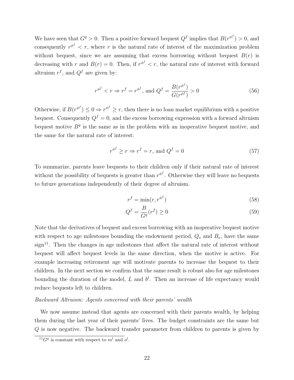We have seen that  $G^q > 0$ . Then a positive forward bequest  $Q^f$  implies that  $B(r^{\phi^f}) > 0$ , and consequently  $r^{\phi^f} < r$ , where r is the natural rate of interest of the maximization problem without bequest, since we are assuming that excess borrowing without bequest  $B(r)$  is decreasing with r and  $B(r) = 0$ . Then, if  $r^{\phi^f} < r$ , the natural rate of interest with forward altruism  $r^f$ , and  $Q^f$  are given by:

$$
r^{\phi^f} < r \Rightarrow r^f = r^{\phi^f}, \text{ and } Q^f = \frac{B(r^{\phi^f})}{G(r^{\phi^f})} > 0 \tag{56}
$$

Otherwise, if  $B(r^{\phi^f}) \leq 0 \Rightarrow r^{\phi^f} \geq r$ , then there is no loan market equilibrium with a positive bequest. Consequently  $Q^f = 0$ , and the excess borrowing expression with a forward altruism bequest motive  $B<sup>q</sup>$  is the same as in the problem with an inoperative bequest motive, and the same for the natural rate of interest:

$$
r^{\phi^f} \ge r \Rightarrow r^f = r, \text{ and } Q^f = 0 \tag{57}
$$

To summarize, parents leave bequests to their children only if their natural rate of interest without the possibility of bequests is greater than  $r^{\phi^f}$ . Otherwise they will leave no bequests to future generations independently of their degree of altruism.

$$
r^f = \min(r, r^{\phi^f})
$$
\n(58)

$$
Q^f = \frac{B}{G^q}(r^f) \ge 0\tag{59}
$$

Note that the derivatives of bequest and excess borrowing with an inoperative bequest motive with respect to age milestones bounding the endowment period,  $Q_v$  and  $B_v$ , have the same sign<sup>11</sup>. Then the changes in age milestones that affect the natural rate of interest without bequest will affect bequest levels in the same direction, when the motive is active. For example increasing retirement age will motivate parents to increase the bequest to their children. In the next section we confirm that the same result is robust also for age milestones bounding the duration of the model, L and  $b^l$ . Then an increase of life expectancy would reduce bequests left to children.

#### Backward Altruism: Agents concerned with their parents' wealth

We now assume instead that agents are concerned with their parents wealth, by helping them during the last year of their parents' lives. The budget constraints are the same but Q is now negative. The backward transfer parameter from children to parents is given by

 $^{11}G<sup>q</sup>$  is constant with respect to  $m<sup>l</sup>$  and  $o<sup>l</sup>$ .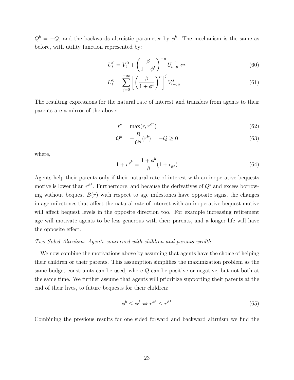$Q^b = -Q$ , and the backwards altruistic parameter by  $\phi^b$ . The mechanism is the same as before, with utility function represented by:

$$
U_t^0 = V_t^0 + \left(\frac{\beta}{1 + \phi^b}\right)^{-\mu} U_{t-\mu}^{-1} \Leftrightarrow \tag{60}
$$

$$
U_t^0 = \sum_{j=0}^{-\infty} \left[ \left( \frac{\beta}{1 + \phi^b} \right)^\mu \right]^j V_{t+j\mu}^j \tag{61}
$$

The resulting expressions for the natural rate of interest and transfers from agents to their parents are a mirror of the above:

$$
r^b = \max(r, r^{\phi^b})\tag{62}
$$

$$
Q^{b} = -\frac{B}{G^{q}}(r^{b}) = -Q \ge 0
$$
\n(63)

where,

$$
1 + r^{\phi^b} = \frac{1 + \phi^b}{\beta} (1 + r_{gz})
$$
\n(64)

Agents help their parents only if their natural rate of interest with an inoperative bequests motive is lower than  $r^{\phi^b}$ . Furthermore, and because the derivatives of  $Q^b$  and excess borrowing without bequest  $B(r)$  with respect to age milestones have opposite signs, the changes in age milestones that affect the natural rate of interest with an inoperative bequest motive will affect bequest levels in the opposite direction too. For example increasing retirement age will motivate agents to be less generous with their parents, and a longer life will have the opposite effect.

#### Two Sided Altruism: Agents concerned with children and parents wealth

We now combine the motivations above by assuming that agents have the choice of helping their children or their parents. This assumption simplifies the maximization problem as the same budget constraints can be used, where Q can be positive or negative, but not both at the same time. We further assume that agents will prioritize supporting their parents at the end of their lives, to future bequests for their children:

$$
\phi^b \le \phi^f \Leftrightarrow r^{\phi^b} \le r^{\phi^f} \tag{65}
$$

Combining the previous results for one sided forward and backward altruism we find the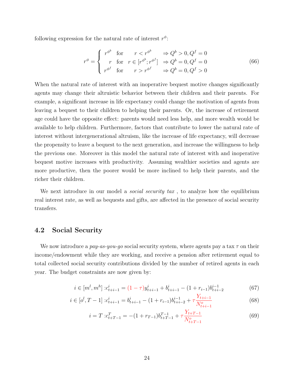following expression for the natural rate of interest  $r^{\phi}$ :

$$
r^{\phi} = \begin{cases} r^{\phi^b} & \text{for} & r < r^{\phi^b} \Rightarrow Q^b > 0, Q^f = 0\\ r & \text{for} & r \in [r^{\phi^b}; r^{\phi^f}] \Rightarrow Q^b = 0, Q^f = 0\\ r^{\phi^f} & \text{for} & r > r^{\phi^f} \Rightarrow Q^b = 0, Q^f > 0 \end{cases}
$$
(66)

When the natural rate of interest with an inoperative bequest motive changes significantly agents may change their altruistic behavior between their children and their parents. For example, a significant increase in life expectancy could change the motivation of agents from leaving a bequest to their children to helping their parents. Or, the increase of retirement age could have the opposite effect: parents would need less help, and more wealth would be available to help children. Furthermore, factors that contribute to lower the natural rate of interest without intergenerational altruism, like the increase of life expectancy, will decrease the propensity to leave a bequest to the next generation, and increase the willingness to help the previous one. Moreover in this model the natural rate of interest with and inoperative bequest motive increases with productivity. Assuming wealthier societies and agents are more productive, then the poorer would be more inclined to help their parents, and the richer their children.

We next introduce in our model a *social security tax*, to analyze how the equilibrium real interest rate, as well as bequests and gifts, are affected in the presence of social security transfers.

# 4.2 Social Security

We now introduce a pay-as-you-go social security system, where agents pay a tax  $\tau$  on their income/endowment while they are working, and receive a pension after retirement equal to total collected social security contributions divided by the number of retired agents in each year. The budget constraints are now given by:

$$
i \in [m^l, m^h] : c^i_{t+i-1} = (1 - \tau)y^i_{t+i-1} + b^i_{t+i-1} - (1 + r_{i-1})b^{i-1}_{t+i-2}
$$
(67)

$$
i \in [o^l, T-1] : c^i_{t+i-1} = b^i_{t+i-1} - (1+r_{i-1})b^{i-1}_{t+i-2} + \tau \frac{Y_{t+i-1}}{N^o_{t+i-1}}
$$
(68)

$$
i = T: c_{t+T-1}^T = -(1 + r_{T-1})b_{t+T-1}^{T-1} + \tau \frac{Y_{t+T-1}}{N_{t+T-1}^o}
$$
(69)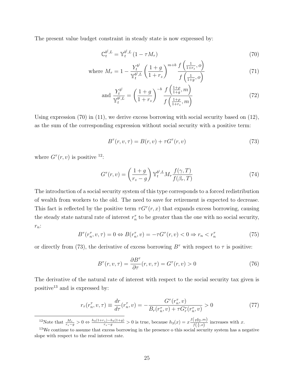The present value budget constraint in steady state is now expressed by:

$$
\mathbb{C}_t^{b^l, L} = \mathbb{Y}_t^{b^l, L} \left( 1 - \tau M_\tau \right) \tag{70}
$$

where 
$$
M_{\tau} = 1 - \frac{Y_t^{b^l}}{\mathbb{Y}_t^{b^l}, L} \left(\frac{1+g}{1+r_z}\right)^{m+b} \frac{f\left(\frac{1}{1+r_z}, o\right)}{f\left(\frac{1}{1+g}, o\right)}
$$
 (71)

and 
$$
\frac{Y_t^{b^l}}{\mathbb{Y}_t^{b^l,L}} = \left(\frac{1+g}{1+r_z}\right)^{-b} \frac{f\left(\frac{1+\rho}{1+g}, m\right)}{f\left(\frac{1+\rho}{1+r_z}, m\right)}
$$
(72)

Using expression  $(70)$  in  $(11)$ , we derive excess borrowing with social security based on  $(12)$ , as the sum of the corresponding expression without social security with a positive term:

$$
B^{\tau}(r, v, \tau) = B(r, v) + \tau G^{\tau}(r, v)
$$
\n
$$
(73)
$$

where  $G^{\tau}(r, v)$  is positive <sup>12</sup>:

$$
G^{\tau}(r,v) = \left(\frac{1+g}{r_z-g}\right) \mathbb{Y}_t^{b^l, L} M_{\tau} \frac{f(\gamma, T)}{f(\beta_r, T)}
$$
(74)

The introduction of a social security system of this type corresponds to a forced redistribution of wealth from workers to the old. The need to save for retirement is expected to decrease. This fact is reflected by the positive term  $\tau G^{\tau}(r, x)$  that expands excess borrowing, causing the steady state natural rate of interest  $r_n^{\tau}$  to be greater than the one with no social security,  $r_n$ :

$$
B^{\tau}(r_n^{\tau}, v, \tau) = 0 \Leftrightarrow B(r_n^{\tau}, v) = -\tau G^{\tau}(r, v) < 0 \Rightarrow r_n < r_n^{\tau} \tag{75}
$$

or directly from (73), the derivative of excess borrowing  $B^{\tau}$  with respect to  $\tau$  is positive:

$$
B^{\tau}(r,v,\tau) = \frac{\partial B^{\tau}}{\partial \tau}(r,v,\tau) = G^{\tau}(r,v) > 0
$$
\n(76)

The derivative of the natural rate of interest with respect to the social security tax given is positive<sup>13</sup> and is expressed by:

$$
r_{\tau}(r_n^{\tau}, v, \tau) \equiv \frac{dr}{d\tau}(r_n^{\tau}, v) = -\frac{G^{\tau}(r_n^{\tau}, v)}{B_r(r_n^{\tau}, v) + \tau G_r^{\tau}(r_n^{\tau}, v)} > 0
$$
\n(77)

<sup>12</sup>Note that  $\frac{M_{\tau}}{r_z-g} > 0 \Leftrightarrow \frac{h_3(1+r_z)-h_3(1+g)}{r_z-g} > 0$  is true, because  $h_3(x) = x \frac{f(\frac{x}{1+p},m)}{f(\frac{1}{p},o)}$  $\frac{(1+\rho)^{m}}{f(\frac{1}{x},o)}$  increases with x.

 $13$ We continue to assume that excess borrowing in the presence o this social security system has a negative slope with respect to the real interest rate.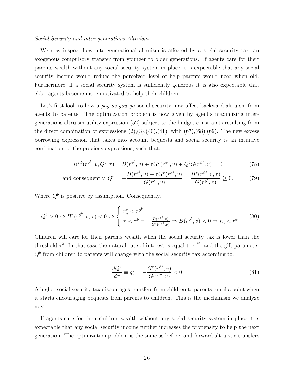#### Social Security and inter-generations Altruism

We now inspect how intergenerational altruism is affected by a social security tax, an exogenous compulsory transfer from younger to older generations. If agents care for their parents wealth without any social security system in place it is expectable that any social security income would reduce the perceived level of help parents would need when old. Furthermore, if a social security system is sufficiently generous it is also expectable that elder agents become more motivated to help their children.

Let's first look to how a *pay-as-you-qo* social security may affect backward altruism from agents to parents. The optimization problem is now given by agent's maximizing intergenerations altruism utility expression (52) subject to the budget constraints resulting from the direct combination of expressions  $(2),(3),(40),(41)$ , with  $(67),(68),(69)$ . The new excess borrowing expression that takes into account bequests and social security is an intuitive combination of the previous expressions, such that:

$$
B^{\tau,b}(r^{\phi^b}, v, Q^b, \tau) = B(r^{\phi^b}, v) + \tau G^{\tau}(r^{\phi^b}, v) + Q^b G(r^{\phi^b}, v) = 0
$$
\n(78)

and consequently, 
$$
Q^b = -\frac{B(r^{\phi^b}, v) + \tau G^{\tau}(r^{\phi^b}, v)}{G(r^{\phi^b}, v)} = \frac{B^{\tau}(r^{\phi^b}, v, \tau)}{G(r^{\phi^b}, v)} \ge 0.
$$
 (79)

Where  $Q^b$  is positive by assumption. Consequently,

$$
Q^{b} > 0 \Leftrightarrow B^{\tau}(r^{\phi^{b}}, v, \tau) < 0 \Leftrightarrow \begin{cases} r_{n}^{\tau} < r^{\phi^{b}} \\ \tau < \tau^{b} = -\frac{B(r^{\phi^{b}}, v)}{G^{\tau}(r^{\phi^{b}}, v)} \Rightarrow B(r^{\phi^{b}}, v) < 0 \Rightarrow r_{n} < r^{\phi^{b}} \end{cases}
$$
(80)

Children will care for their parents wealth when the social security tax is lower than the threshold  $\tau^b$ . In that case the natural rate of interest is equal to  $r^{\phi^b}$ , and the gift parameter  $Q<sup>b</sup>$  from children to parents will change with the social security tax according to:

$$
\frac{dQ^b}{d\tau} \equiv q_\tau^b = -\frac{G^\tau(r^{\phi^b}, v)}{G(r^{\phi^b}, v)} < 0\tag{81}
$$

A higher social security tax discourages transfers from children to parents, until a point when it starts encouraging bequests from parents to children. This is the mechanism we analyze next.

If agents care for their children wealth without any social security system in place it is expectable that any social security income further increases the propensity to help the next generation. The optimization problem is the same as before, and forward altruistic transfers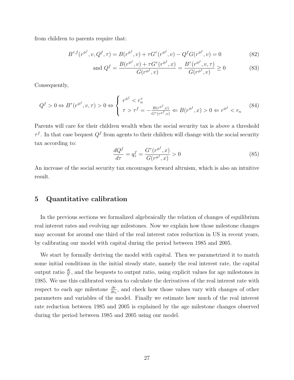from children to parents require that:

$$
B^{\tau,f}(r^{\phi^f}, v, Q^f, \tau) = B(r^{\phi^f}, v) + \tau G^{\tau}(r^{\phi^f}, v) - Q^f G(r^{\phi^f}, v) = 0
$$
\n(82)

and 
$$
Q^f = \frac{B(r^{\phi^f}, v) + \tau G^{\tau}(r^{\phi^f}, x)}{G(r^{\phi^f}, v)} = \frac{B^{\tau}(r^{\phi^f}, v, \tau)}{G(r^{\phi^f}, v)} \ge 0
$$
 (83)

Consequently,

$$
Q^f > 0 \Leftrightarrow B^\tau(r^{\phi^f}, v, \tau) > 0 \Leftrightarrow \begin{cases} r^{\phi^f} < r_n^\tau \\ \tau > \tau^f = -\frac{B(r^{\phi^f}, v)}{G^\tau(r^{\phi^f}, v)} \Leftrightarrow B(r^{\phi^f}, x) > 0 \Leftrightarrow r^{\phi^f} < r_n \end{cases}
$$
(84)

Parents will care for their children wealth when the social security tax is above a threshold  $\tau^f$ . In that case bequest  $Q^f$  from agents to their children will change with the social security tax according to:

$$
\frac{dQ^f}{d\tau} = q^f_\tau = \frac{G^\tau(r^{\phi^f}, x)}{G(r^{\phi^f}, x)} > 0\tag{85}
$$

An increase of the social security tax encourages forward altruism, which is also an intuitive result.

## 5 Quantitative calibration

In the previous sections we formalized algebraically the relation of changes of equilibrium real interest rates and evolving age milestones. Now we explain how those milestone changes may account for around one third of the real interest rates reduction in US in recent years, by calibrating our model with capital during the period between 1985 and 2005.

We start by formally deriving the model with capital. Then we parametrized it to match some initial conditions in the initial steady state, namely the real interest rate, the capital output ratio  $\frac{K}{Y}$ , and the bequests to output ratio, using explicit values for age milestones in 1985. We use this calibrated version to calculate the derivatives of the real interest rate with respect to each age milestone  $\frac{\partial r}{\partial v_i}$ , and check how those values vary with changes of other parameters and variables of the model. Finally we estimate how much of the real interest rate reduction between 1985 and 2005 is explained by the age milestone changes observed during the period between 1985 and 2005 using our model.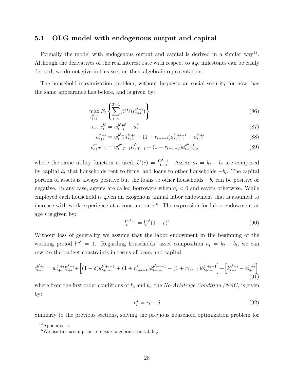# 5.1 OLG model with endogenous output and capital

Formally the model with endogenous output and capital is derived in a similar way<sup>14</sup>. Although the derivatives of the real interest rate with respect to age milestones can be easily derived, we do not give in this section their algebraic representation.

The household maximization problem, without bequests an social security for now, has the same appearance has before, and is given by:

$$
\max_{c_{t+i}^{b^l+i}} E_t \left\{ \sum_{i=0}^{T-1} \beta^i U(c_{t+i}^{b^l+i}) \right\} \tag{86}
$$

s.t. 
$$
c_t^{b^l} = w_t^{b^l} l_t^{b^l} - a_t^{b^l}
$$
 (87)

$$
c_{t+i}^{b^l+i} = w_{t+i}^{b^l+i} l_{t+i}^{b^l+i} + (1 + r_{t+i-1}) a_{t+i-1}^{b^l+i-1} - a_{t+i}^{b^l+i}
$$
\n
$$
(88)
$$

$$
c_{t+T-1}^{o^h} = w_{t+T-1}^{o^h} l_{t+T-1}^{o^h} + (1 + r_{t+T-2}) a_{t+T-2}^{o^h-1}
$$
\n(89)

where the same utility function is used,  $U(c) = \frac{C^{\sigma}-1}{1-\sigma}$ . Assets  $a_t = k_t - b_t$  are composed by capital  $k_t$  that households rent to firms, and loans to other households  $-b_t$ . The capital portion of assets is always positive but the loans to other households  $-b_t$  can be positive or negative. In any case, agents are called borrowers when  $a_t < 0$  and savers otherwise. While employed each household is given an exogenous annual labor endowment that is assumed to increase with work experience at a constant rate<sup>15</sup>. The expression for labor endowment at age  $i$  is given by:

$$
l_t^{m^l+i} = l_t^{m^l} (1+\rho)^i \tag{90}
$$

Without loss of generality we assume that the labor endowment in the beginning of the working period  $l^{m'} = 1$ . Regarding households' asset composition  $a_t = k_t - b_t$ , we can rewrite the budget constraints in terms of loans and capital:

$$
c_{t+i}^{b^l+i} = w_{t+i}^{b^l+i} l_{t+i}^{b^l+i} + \left[ (1-\delta)k_{t+i-1}^{b^l+i-1} + (1+r_{t+i-1}^k)k_{t+i-1}^{b^l+i-1} - (1+r_{t+i-1})b_{t+i-1}^{b^l+i-1} \right] - \left[ k_{t+i}^{b^l+i} - b_{t+i}^{b^l+i} \right] \tag{91}
$$

where from the first order conditions of  $k_t$  and  $b_t$ , the *No-Arbitrage Condition (NAC)* is given by:

$$
r_t^k = r_t + \delta \tag{92}
$$

Similarly to the previous sections, solving the previous household optimization problem for

 $14$ Appendix D.

<sup>15</sup>We use this assumption to ensure algebraic tractability.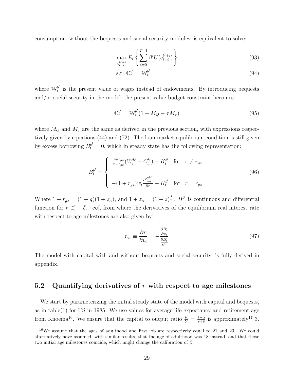consumption, without the bequests and social security modules, is equivalent to solve:

$$
\max_{c_{t+i}^{b^l+i}} E_t \left\{ \sum_{i=0}^{T-1} \beta^i U(c_{t+i}^{b^l+i}) \right\} \tag{93}
$$

$$
\text{s.t. } \mathbb{C}_t^{b^l} = \mathbb{W}_t^{b^l} \tag{94}
$$

where  $\mathbb{W}^{b^l}_t$  $t<sub>t</sub><sup>b</sup>$  is the present value of wages instead of endowments. By introducing bequests and/or social security in the model, the present value budget constraint becomes:

$$
\mathbb{C}_t^{b^l} = \mathbb{W}_t^{b^l} (1 + M_Q - \tau M_\tau) \tag{95}
$$

where  $M_Q$  and  $M<sub>\tau</sub>$  are the same as derived in the previous section, with expressions respectively given by equations (44) and (72). The loan market equilibrium condition is still given by excess borrowing  $B_t^{b'} = 0$ , which in steady state has the following representation:

$$
B_t^{b^l} = \begin{cases} \frac{1+r_{gz}}{r-r_{gz}} (W_t^{b^l} - C_t^{b^l}) + K_t^{b^l} & \text{for } r \neq r_{gz} \\ \\ -(1+r_{gz})w_t \frac{\partial \frac{C^{b^l}}{w_t}}{\partial r} + K_t^{b^l} & \text{for } r = r_{gz} \end{cases}
$$
(96)

Where  $1 + r_{gz} = (1 + g)(1 + z_\alpha)$ , and  $1 + z_\alpha = (1 + z)^\frac{1}{\alpha}$ .  $B^{b^l}$  is continuous and differential function for  $r \in ]-\delta, +\infty[$ , from where the derivatives of the equilibrium real interest rate with respect to age milestones are also given by:

$$
r_{v_i} \equiv \frac{\partial r}{\partial v_i} = -\frac{\frac{\partial B_i^l}{\partial v_i}}{\frac{\partial B_i^l}{\partial r}}\tag{97}
$$

The model with capital with and without bequests and social security, is fully derived in appendix.

# 5.2 Quantifying derivatives of  $r$  with respect to age milestones

We start by parameterizing the initial steady state of the model with capital and bequests, as in table(1) for US in 1985. We use values for average life expectancy and retirement age from Knoema<sup>16</sup>. We ensure that the capital to output ratio  $\frac{K}{Y} = \frac{1-\alpha}{r+\delta}$  $\frac{1-\alpha}{r+\delta}$  is approximately<sup>17</sup> 3.

 $16$ We assume that the ages of adulthood and first job are respectively equal to 21 and 23. We could alternatively have assumed, with similar results, that the age of adulthood was 18 instead, and that those two initial age milestones coincide, which might change the calibration of  $\beta$ .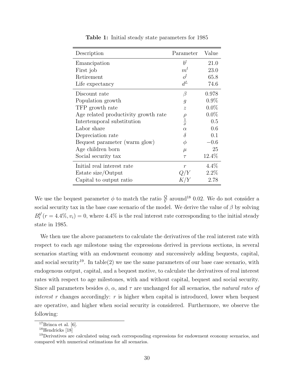| Description                          | Parameter                       | Value   |
|--------------------------------------|---------------------------------|---------|
| Emancipation                         | $b^l$                           | 21.0    |
| First job                            | $m^{l}$                         | 23.0    |
| Retirement                           | $o^{l}$                         | 65.8    |
| Life expectancy                      | $d^L$                           | 74.6    |
| Discount rate                        | β                               | 0.978   |
| Population growth                    | $\overline{g}$                  | $0.9\%$ |
| TFP growth rate                      | $\overline{z}$                  | $0.0\%$ |
| Age related productivity growth rate |                                 | $0.0\%$ |
| Intertemporal substitution           | $\frac{\rho}{\frac{1}{\sigma}}$ | 0.5     |
| Labor share                          | $\alpha$                        | 0.6     |
| Depreciation rate                    | $\delta$                        | 0.1     |
| Bequest parameter (warm glow)        | $\phi$                          | $-0.6$  |
| Age children born                    | $\mu$                           | 25      |
| Social security tax                  | $\tau$                          | 12.4%   |
| Initial real interest rate           | $\overline{r}$                  | $4.4\%$ |
| Estate size/Output                   |                                 | $2.2\%$ |
| Capital to output ratio              |                                 | 2.78    |

Table 1: Initial steady state parameters for 1985

We use the bequest parameter  $\phi$  to match the ratio  $\frac{Q}{Y}$  around<sup>18</sup> 0.02. We do not consider a social security tax in the base case scenario of the model. We derive the value of  $\beta$  by solving  $B_t^{b^l}$  $t^{b'}(r = 4.4\%, v_i) = 0$ , where  $4.4\%$  is the real interest rate corresponding to the initial steady state in 1985.

We then use the above parameters to calculate the derivatives of the real interest rate with respect to each age milestone using the expressions derived in previous sections, in several scenarios starting with an endowment economy and successively adding bequests, capital, and social security<sup>19</sup>. In table(2) we use the same parameters of our base case scenario, with endogenous output, capital, and a bequest motive, to calculate the derivatives of real interest rates with respect to age milestones, with and without capital, bequest and social security. Since all parameters besides  $\phi$ ,  $\alpha$ , and  $\tau$  are unchanged for all scenarios, the natural rates of interest r changes accordingly: r is higher when capital is introduced, lower when bequest are operative, and higher when social security is considered. Furthermore, we observe the following:

 $17$ Brinca et al. [6].

<sup>&</sup>lt;sup>18</sup>Hendricks [18]

<sup>&</sup>lt;sup>19</sup>Derivatives are calculated using each corresponding expressions for endowment economy scenarios, and compared with numerical estimations for all scenarios.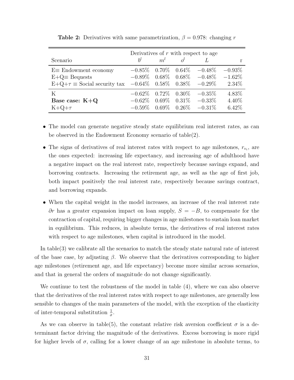|                                                                       | Derivatives of $r$ with respect to age |                 |                 |                             |           |  |  |
|-----------------------------------------------------------------------|----------------------------------------|-----------------|-----------------|-----------------------------|-----------|--|--|
| Scenario                                                              | $h^l$                                  | $m^{l}$         |                 |                             |           |  |  |
| $E \equiv$ Endowment economy                                          | $-0.85\%$                              |                 | $0.70\%$ 0.64\% | $-0.48\%$                   | $-0.93\%$ |  |  |
| $E+Q \equiv$ Bequests                                                 | $-0.89\%$                              |                 |                 | $0.68\%$ $0.68\%$ $-0.48\%$ | $-1.62\%$ |  |  |
| $E+Q+\tau \equiv$ Social security tax $-0.64\%$ 0.58% 0.38% $-0.29\%$ |                                        |                 |                 |                             | $2.34\%$  |  |  |
| K                                                                     | $-0.62\%$                              | $0.72\%$ 0.30\% |                 | $-0.35\%$                   | 4.83%     |  |  |
| Base case: $K+Q$                                                      | $-0.62\%$                              | $0.69\%$        |                 | $0.31\% -0.33\%$            | $4.40\%$  |  |  |
| $K+Q+\tau$                                                            | $-0.59\%$                              |                 |                 | $0.69\%$ $0.26\%$ $-0.31\%$ | $6.42\%$  |  |  |

**Table 2:** Derivatives with same parametrization,  $\beta = 0.978$ : changing r

- The model can generate negative steady state equilibrium real interest rates, as can be observed in the Endowment Economy scenario of table(2).
- The signs of derivatives of real interest rates with respect to age milestones,  $r_{v_i}$ , are the ones expected: increasing life expectancy, and increasing age of adulthood have a negative impact on the real interest rate, respectively because savings expand, and borrowing contracts. Increasing the retirement age, as well as the age of first job, both impact positively the real interest rate, respectively because savings contract, and borrowing expands.
- When the capital weight in the model increases, an increase of the real interest rate  $∂r$  has a greater expansion impact on loan supply,  $S = -B$ , to compensate for the contraction of capital, requiring bigger changes in age milestones to sustain loan market in equilibrium. This reduces, in absolute terms, the derivatives of real interest rates with respect to age milestones, when capital is introduced in the model.

In table(3) we calibrate all the scenarios to match the steady state natural rate of interest of the base case, by adjusting  $\beta$ . We observe that the derivatives corresponding to higher age milestones (retirement age, and life expectancy) become more similar across scenarios, and that in general the orders of magnitude do not change significantly.

We continue to test the robustness of the model in table (4), where we can also observe that the derivatives of the real interest rates with respect to age milestones, are generally less sensible to changes of the main parameters of the model, with the exception of the elasticity of inter-temporal substitution  $\frac{1}{\sigma}$ .

As we can observe in table(5), the constant relative risk aversion coefficient  $\sigma$  is a determinant factor driving the magnitude of the derivatives. Excess borrowing is more rigid for higher levels of  $\sigma$ , calling for a lower change of an age milestone in absolute terms, to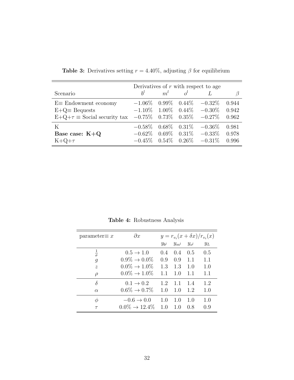|                                       | Derivatives of $r$ with respect to age |  |             |                                       |       |  |
|---------------------------------------|----------------------------------------|--|-------------|---------------------------------------|-------|--|
| Scenario                              | $h^l$                                  |  | $m^l$ $o^l$ |                                       |       |  |
| $E \equiv$ Endowment economy          |                                        |  |             | $-1.06\%$ 0.99\% 0.44\% $-0.32\%$     | 0.944 |  |
| $E+Q \equiv$ Bequests                 |                                        |  |             | $-1.10\%$ 1.00\% 0.44\% $-0.30\%$     | 0.942 |  |
| $E+Q+\tau \equiv$ Social security tax | $-0.75\%$ 0.73\% 0.35\% $-0.27\%$      |  |             |                                       | 0.962 |  |
| K                                     |                                        |  |             | $-0.58\%$ $0.68\%$ $0.31\%$ $-0.36\%$ | 0.981 |  |
| Base case: $K+Q$                      |                                        |  |             | $-0.62\%$ 0.69\% 0.31\% $-0.33\%$     | 0.978 |  |
| $K+Q+\tau$                            |                                        |  |             | $-0.45\%$ $0.54\%$ $0.26\%$ $-0.31\%$ | 0.996 |  |

**Table 3:** Derivatives setting  $r = 4.40\%$ , adjusting  $\beta$  for equilibrium

Table 4: Robustness Analysis

| parameter $\equiv x$      | $\partial x$               | $y = r_{v_i}(x + \delta x)/r_{v_i}(x)$ |         |           |       |
|---------------------------|----------------------------|----------------------------------------|---------|-----------|-------|
|                           |                            | $y_{bl}$                               | $y_{m}$ | $y_{o^l}$ | $y_L$ |
| $\sigma$                  | $0.5 \rightarrow 1.0$      | 0.4                                    | 0.4     | 0.5       | 0.5   |
| $\overline{g}$            | $0.9\% \to 0.0\%$          | 0.9                                    | 0.9     | 1.1       | 1.1   |
| $\widetilde{\mathcal{Z}}$ | $0.0\% \to 1.0\%$          | 1.3                                    | 1.3     | 1.0       | 1.0   |
| $\rho$                    | $0.0\% \to 1.0\%$          | 1.1                                    | 1.0     | 1.1       | 1.1   |
| δ                         | $0.1 \rightarrow 0.2$      | 1.2                                    | 1.1     | 1.4       | 1.2   |
| $\alpha$                  | $0.6\% \to 0.7\%$          | 1.0                                    | 1.0     | 1.2       | 1.0   |
| $\phi$                    | $-0.6 \rightarrow 0.0$     | 1.0                                    | 1.0     | 1.0       | 1.0   |
|                           | $0.0\% \rightarrow 12.4\%$ | 1.0                                    | 1.0     | 0.8       | 0.9   |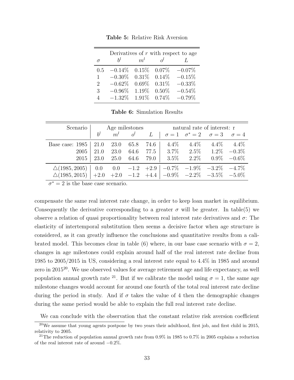| Derivatives of $r$ with respect to age |           |          |              |           |  |  |  |
|----------------------------------------|-----------|----------|--------------|-----------|--|--|--|
| $\sigma$                               | $h^l$     | $m^l$    | $\alpha^{l}$ |           |  |  |  |
| 0.5                                    | $-0.14\%$ | 0.15%    | $0.07\%$     | $-0.07\%$ |  |  |  |
| 1                                      | $-0.30\%$ | $0.31\%$ | 0.14%        | $-0.15\%$ |  |  |  |
| $\overline{2}$                         | $-0.62%$  | $0.69\%$ | 0.31%        | $-0.33%$  |  |  |  |
| 3                                      | $-0.96\%$ | 1.19%    | $0.50\%$     | $-0.54%$  |  |  |  |
| Δ                                      | $-1.32\%$ | 1.91%    | $0.74\%$     | $-0.79%$  |  |  |  |

Table 5: Relative Risk Aversion

Table 6: Simulation Results

|                                                                       |  |  |  |  | Scenario   Age milestones natural rate of interest: r |                                                                                |  |  |
|-----------------------------------------------------------------------|--|--|--|--|-------------------------------------------------------|--------------------------------------------------------------------------------|--|--|
|                                                                       |  |  |  |  |                                                       | $b^l$ $m^l$ $o^l$ $L \mid \sigma = 1$ $\sigma^* = 2$ $\sigma = 3$ $\sigma = 4$ |  |  |
| Base case: $1985 \mid 21.0 \quad 23.0 \quad 65.8 \quad 74.6 \mid$     |  |  |  |  |                                                       | $4.4\%$ $4.4\%$ $4.4\%$ $4.4\%$                                                |  |  |
|                                                                       |  |  |  |  |                                                       | $2005$   21.0 23.0 64.6 77.5   3.7% 2.5% 1.2% $-0.3\%$                         |  |  |
|                                                                       |  |  |  |  |                                                       |                                                                                |  |  |
| $\triangle(1985, 2005)$   0.0 0.0 -1.2 +2.9   -0.7% -1.9% -3.2% -4.7% |  |  |  |  |                                                       |                                                                                |  |  |
| $\Delta(1985, 2015)$ +2.0 +2.0 -1.2 +4.4 -0.9% -2.2% -3.5% -5.0%      |  |  |  |  |                                                       |                                                                                |  |  |

 $\sigma^* = 2$  is the base case scenario.

compensate the same real interest rate change, in order to keep loan market in equilibrium. Consequently the derivative corresponding to a greater  $\sigma$  will be greater. In table(5) we observe a relation of quasi proportionality between real interest rate derivatives and  $\sigma$ : The elasticity of intertemporal substitution then seems a decisive factor when age structure is considered, as it can greatly influence the conclusions and quantitative results from a calibrated model. This becomes clear in table (6) where, in our base case scenario with  $\sigma = 2$ , changes in age milestones could explain around half of the real interest rate decline from 1985 to 2005/2015 in US, considering a real interest rate equal to 4.4% in 1985 and around zero in  $2015^{20}$ . We use observed values for average retirement age and life expectancy, as well population annual growth rate <sup>21</sup>. But if we calibrate the model using  $\sigma = 1$ , the same age milestone changes would account for around one fourth of the total real interest rate decline during the period in study. And if  $\sigma$  takes the value of 4 then the demographic changes during the same period would be able to explain the full real interest rate decline.

We can conclude with the observation that the constant relative risk aversion coefficient

 $^{20}$ We assume that young agents postpone by two years their adulthood, first job, and first child in 2015, relativity to 2005.

<sup>&</sup>lt;sup>21</sup>The reduction of population annual growth rate from 0.9% in 1985 to 0.7% in 2005 explains a reduction of the real interest rate of around −0.2%.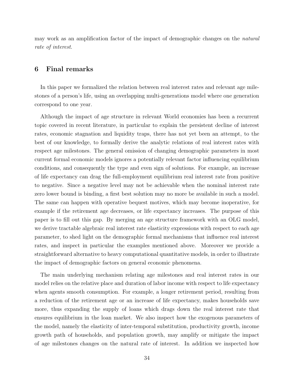may work as an amplification factor of the impact of demographic changes on the natural rate of interest.

## 6 Final remarks

In this paper we formalized the relation between real interest rates and relevant age milestones of a person's life, using an overlapping multi-generations model where one generation correspond to one year.

Although the impact of age structure in relevant World economies has been a recurrent topic covered in recent literature, in particular to explain the persistent decline of interest rates, economic stagnation and liquidity traps, there has not yet been an attempt, to the best of our knowledge, to formally derive the analytic relations of real interest rates with respect age milestones. The general omission of changing demographic parameters in most current formal economic models ignores a potentially relevant factor influencing equilibrium conditions, and consequently the type and even sign of solutions. For example, an increase of life expectancy can drag the full-employment equilibrium real interest rate from positive to negative. Since a negative level may not be achievable when the nominal interest rate zero lower bound is binding, a first best solution may no more be available in such a model. The same can happen with operative bequest motives, which may become inoperative, for example if the retirement age decreases, or life expectancy increases. The purpose of this paper is to fill out this gap. By merging an age structure framework with an OLG model, we derive tractable algebraic real interest rate elasticity expressions with respect to each age parameter, to shed light on the demographic formal mechanisms that influence real interest rates, and inspect in particular the examples mentioned above. Moreover we provide a straightforward alternative to heavy computational quantitative models, in order to illustrate the impact of demographic factors on general economic phenomena.

The main underlying mechanism relating age milestones and real interest rates in our model relies on the relative place and duration of labor income with respect to life expectancy when agents smooth consumption. For example, a longer retirement period, resulting from a reduction of the retirement age or an increase of life expectancy, makes households save more, thus expanding the supply of loans which drags down the real interest rate that ensures equilibrium in the loan market. We also inspect how the exogenous parameters of the model, namely the elasticity of inter-temporal substitution, productivity growth, income growth path of households, and population growth, may amplify or mitigate the impact of age milestones changes on the natural rate of interest. In addition we inspected how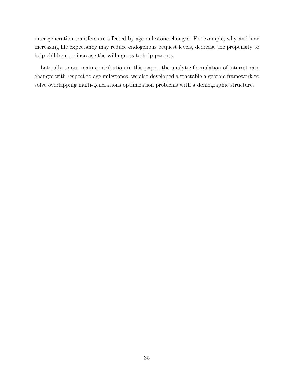inter-generation transfers are affected by age milestone changes. For example, why and how increasing life expectancy may reduce endogenous bequest levels, decrease the propensity to help children, or increase the willingness to help parents.

Laterally to our main contribution in this paper, the analytic formulation of interest rate changes with respect to age milestones, we also developed a tractable algebraic framework to solve overlapping multi-generations optimization problems with a demographic structure.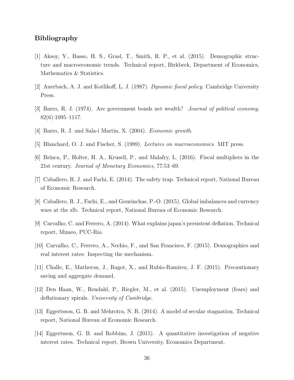# Bibliography

- [1] Aksoy, Y., Basso, H. S., Grasl, T., Smith, R. P., et al. (2015). Demographic structure and macroeconomic trends. Technical report, Birkbeck, Department of Economics, Mathematics & Statistics.
- [2] Auerbach, A. J. and Kotlikoff, L. J. (1987). Dynamic fiscal policy. Cambridge University Press.
- [3] Barro, R. J. (1974). Are government bonds net wealth? Journal of political economy, 82(6):1095–1117.
- [4] Barro, R. J. and Sala-i Martin, X. (2004). *Economic growth*.
- [5] Blanchard, O. J. and Fischer, S. (1989). Lectures on macroeconomics. MIT press.
- [6] Brinca, P., Holter, H. A., Krusell, P., and Malafry, L. (2016). Fiscal multipliers in the 21st century. Journal of Monetary Economics, 77:53–69.
- [7] Caballero, R. J. and Farhi, E. (2014). The safety trap. Technical report, National Bureau of Economic Research.
- [8] Caballero, R. J., Farhi, E., and Gourinchas, P.-O. (2015). Global imbalances and currency wars at the zlb. Technical report, National Bureau of Economic Research.
- [9] Carvalho, C. and Ferrero, A. (2014). What explains japan's persistent deflation. Technical report, Mimeo, PUC-Rio.
- [10] Carvalho, C., Ferrero, A., Nechio, F., and San Francisco, F. (2015). Demographics and real interest rates: Inspecting the mechanism.
- [11] Challe, E., Matheron, J., Ragot, X., and Rubio-Ramirez, J. F. (2015). Precautionary saving and aggregate demand.
- [12] Den Haan, W., Rendahl, P., Riegler, M., et al. (2015). Unemployment (fears) and deflationary spirals. University of Cambridge.
- [13] Eggertsson, G. B. and Mehrotra, N. R. (2014). A model of secular stagnation. Technical report, National Bureau of Economic Research.
- [14] Eggertsson, G. B. and Robbins, J. (2015). A quantitative investigation of negative interest rates. Technical report, Brown University, Economics Department.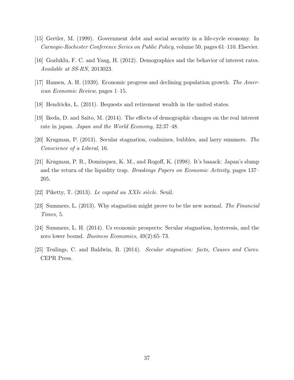- [15] Gertler, M. (1999). Government debt and social security in a life-cycle economy. In Carnegie-Rochester Conference Series on Public Policy, volume 50, pages 61–110. Elsevier.
- [16] Gozluklu, F. C. and Yang, H. (2012). Demographics and the behavior of interest rates. Available at SS-RN, 2013023.
- [17] Hansen, A. H. (1939). Economic progress and declining population growth. The American Economic Review, pages 1–15.
- [18] Hendricks, L. (2011). Bequests and retirement wealth in the united states.
- [19] Ikeda, D. and Saito, M. (2014). The effects of demographic changes on the real interest rate in japan. Japan and the World Economy, 32:37–48.
- [20] Krugman, P. (2013). Secular stagnation, coalmines, bubbles, and larry summers. The Conscience of a Liberal, 16.
- [21] Krugman, P. R., Dominquez, K. M., and Rogoff, K. (1998). It's baaack: Japan's slump and the return of the liquidity trap. Brookings Papers on Economic Activity, pages 137– 205.
- [22] Piketty, T. (2013). Le capital au XXIe siècle. Seuil.
- [23] Summers, L. (2013). Why stagnation might prove to be the new normal. The Financial Times, 5.
- [24] Summers, L. H. (2014). Us economic prospects: Secular stagnation, hysteresis, and the zero lower bound. Business Economics, 49(2):65–73.
- [25] Teulings, C. and Baldwin, R. (2014). Secular stagnation: facts, Causes and Cures. CEPR Press.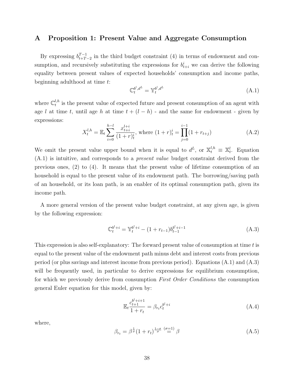## A Proposition 1: Present Value and Aggregate Consumption

By expressing  $b_{t+T}^{T-1}$  $t_{t+T-2}^{T-1}$  in the third budget constraint (4) in terms of endowment and consumption, and recursively substituting the expressions for  $b_{t+i}^i$  we can derive the following equality between present values of expected households' consumption and income paths, beginning adulthood at time t:

$$
\mathbb{C}_t^{b^l, d^L} = \mathbb{Y}_t^{b^l, d^L} \tag{A.1}
$$

where  $\mathbb{C}_t^{l,h}$  $t_t^{n}$  is the present value of expected future and present consumption of an agent with age l at time t, until age h at time  $t + (l - h)$  - and the same for endowment - given by expressions:

$$
X_t^{l,h} = \mathbb{E}_t \sum_{i=0}^{h-l} \frac{x_{t+i}^{l+i}}{(1+r)_t^i}, \text{ where } (1+r)_t^i = \prod_{j=0}^{i-1} (1+r_{t+j})
$$
 (A.2)

We omit the present value upper bound when it is equal to  $d^L$ , or  $\mathbb{X}_t^{l,h} \equiv \mathbb{X}_t^l$ . Equation (A.1) is intuitive, and corresponds to a present value budget constraint derived from the previous ones, (2) to (4). It means that the present value of lifetime consumption of an household is equal to the present value of its endowment path. The borrowing/saving path of an household, or its loan path, is an enabler of its optimal consumption path, given its income path.

A more general version of the present value budget constraint, at any given age, is given by the following expression:

$$
\mathbb{C}_t^{b^l+i} = \mathbb{Y}_t^{b^l+i} - (1 + r_{t-1})b_{t-1}^{b^l+i-1}
$$
\n(A.3)

This expression is also self-explanatory: The forward present value of consumption at time t is equal to the present value of the endowment path minus debt and interest costs from previous period (or plus savings and interest income from previous period). Equations (A.1) and (A.3) will be frequently used, in particular to derive expressions for equilibrium consumption, for which we previously derive from consumption *First Order Conditions* the consumption general Euler equation for this model, given by:

$$
\mathbb{E}_{t} \frac{c_{t+1}^{b^{l}+i+1}}{1+r_{t}} = \beta_{r_{t}} c_{t}^{b^{l}+i} \tag{A.4}
$$

where,

$$
\beta_{r_t} = \beta^{\frac{1}{\sigma}} (1 + r_t)^{\frac{1-\sigma}{\sigma}} \stackrel{(\sigma=1)}{=} \beta \tag{A.5}
$$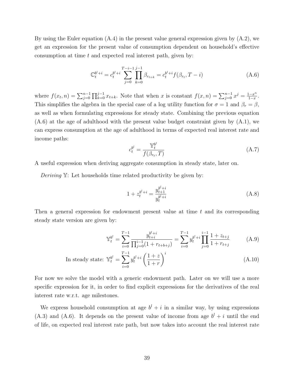By using the Euler equation (A.4) in the present value general expression given by (A.2), we get an expression for the present value of consumption dependent on household's effective consumption at time  $t$  and expected real interest path, given by:

$$
\mathbb{C}_t^{b^l+i} = c_t^{b^l+i} \sum_{j=0}^{T-i-1} \prod_{k=0}^{j-1} \beta_{r_{t+k}} = c_t^{b^l+i} f(\beta_{r_t}, T-i)
$$
\n(A.6)

where  $f(x_t, n) = \sum_{j=0}^{n-1} \prod_{k=0}^{j-1} x_{t+k}$ . Note that when x is constant  $f(x, n) = \sum_{j=0}^{n-1} x^j = \frac{1-x^n}{1-x}$  $\frac{1-x^{\prime\prime}}{1-x}$ . This simplifies the algebra in the special case of a log utility function for  $\sigma = 1$  and  $\beta_r = \beta$ , as well as when formulating expressions for steady state. Combining the previous equation  $(A.6)$  at the age of adulthood with the present value budget constraint given by  $(A.1)$ , we can express consumption at the age of adulthood in terms of expected real interest rate and income paths:

$$
c_t^{b^l} = \frac{\mathbb{Y}_t^{b^l}}{f(\beta_{r_t}, T)}
$$
(A.7)

A useful expression when deriving aggregate consumption in steady state, later on.

Deriving Y: Let households time related productivity be given by:

$$
1 + z_t^{b^l + i} = \frac{y_{t+1}^{b^l + i}}{y_t^{b^l + i}} \tag{A.8}
$$

Then a general expression for endowment present value at time  $t$  and its corresponding steady state version are given by:

$$
\mathbb{Y}_t^{b^l} = \sum_{i=0}^{T-1} \frac{y_{t+i}^{b^l+i}}{\prod_{j=0}^{i-1} (1 + r_{t+b+j})} = \sum_{i=0}^{T-1} y_t^{b^l+i} \prod_{j=0}^{i-1} \frac{1 + z_{t+j}}{1 + r_{t+j}}
$$
(A.9)

In steady state: 
$$
\mathbb{Y}_t^{b^l} = \sum_{i=0}^{T-1} y_t^{b^l+i} \left(\frac{1+z}{1+r}\right)^i
$$
 (A.10)

For now we solve the model with a generic endowment path. Later on we will use a more specific expression for it, in order to find explicit expressions for the derivatives of the real interest rate w.r.t. age milestones.

We express household consumption at age  $b^l + i$  in a similar way, by using expressions  $(A.3)$  and  $(A.6)$ . It depends on the present value of income from age  $b<sup>l</sup> + i$  until the end of life, on expected real interest rate path, but now takes into account the real interest rate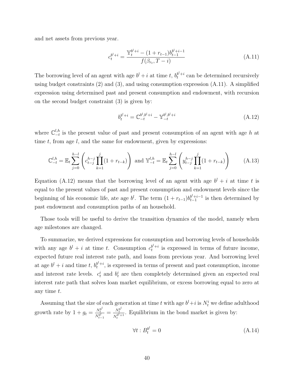and net assets from previous year.

$$
c_t^{b^l+i} = \frac{\mathbb{Y}_t^{b^l+i} - (1 + r_{t-1})b_{t-1}^{b^l+i-1}}{f(\beta_{r_t}, T-i)}
$$
(A.11)

The borrowing level of an agent with age  $b^l + i$  at time t,  $b_t^{b^l + i}$  can be determined recursively using budget constraints (2) and (3), and using consumption expression (A.11). A simplified expression using determined past and present consumption and endowment, with recursion on the second budget constraint (3) is given by:

$$
b_t^{b^l+i} = \mathbb{C}_{-t}^{b^l, b^l+i} - \mathbb{Y}_{-t}^{b^l, b^l+i}
$$
\n(A.12)

where  $\mathbb{C}_{-t}^{l,h}$  is the present value of past and present consumption of an agent with age h at time  $t$ , from age  $l$ , and the same for endowment, given by expressions:

$$
\mathbb{C}_{-t}^{l,h} = \mathbb{E}_t \sum_{j=0}^{h-l} \left( c_{t-j}^{h-j} \prod_{k=1}^j (1+r_{t-k}) \right) \text{ and } \mathbb{Y}_{-t}^{l,h} = \mathbb{E}_t \sum_{j=0}^{h-l} \left( y_{t-j}^{h-j} \prod_{k=1}^j (1+r_{t-k}) \right) \tag{A.13}
$$

Equation (A.12) means that the borrowing level of an agent with age  $b^l + i$  at time t is equal to the present values of past and present consumption and endowment levels since the beginning of his economic life, ate age  $b^l$ . The term  $(1 + r_{t-1})b_{t-1}^{b^l + i-1}$  is then determined by past endowment and consumption paths of an household.

Those tools will be useful to derive the transition dynamics of the model, namely when age milestones are changed.

To summarize, we derived expressions for consumption and borrowing levels of households with any age  $b^l + i$  at time t. Consumption  $c_t^{b^l + i}$  is expressed in terms of future income, expected future real interest rate path, and loans from previous year. And borrowing level at age  $b^l + i$  and time t,  $b_t^{b^l + i}$ , is expressed in terms of present and past consumption, income and interest rate levels.  $c_t^i$  and  $b_t^i$  are then completely determined given an expected real interest rate path that solves loan market equilibrium, or excess borrowing equal to zero at any time t.

Assuming that the size of each generation at time t with age  $b^l + i$  is  $N_t^i$  we define adulthood growth rate by  $1 + g_t = \frac{N_t^{b^l}}{N_{t-1}^{b^l}} = \frac{N_t^{b^l}}{N_t^{b^{l+1}}}$  $\frac{N_t}{N_t^{bl+1}}$ . Equilibrium in the bond market is given by:

$$
\forall t : B_t^{b^l} = 0 \tag{A.14}
$$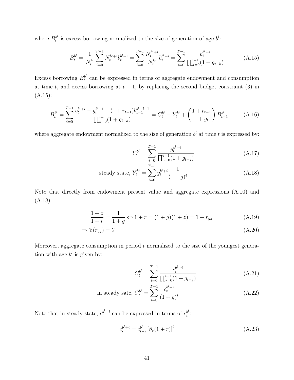where  $B_t^{b^l}$  $t^{b'}$  is excess borrowing normalized to the size of generation of age  $b^l$ :

$$
B_t^{b^l} = \frac{1}{N_t^{b^l}} \sum_{i=0}^{T-1} N_t^{b^l+i} b_t^{b^l+i} = \sum_{i=0}^{T-1} \frac{N_t^{b^l+i}}{N_t^{b^l}} b_t^{b^l+i} = \sum_{i=0}^{T-1} \frac{b_t^{b^l+i}}{\prod_{k=0}^{i-1} (1 + g_{t-k})}
$$
(A.15)

Excess borrowing  $B_t^{b^l}$  $t<sup>b</sup>$  can be expressed in terms of aggregate endowment and consumption at time t, and excess borrowing at  $t - 1$ , by replacing the second budget constraint (3) in (A.15):

$$
B_t^{b^l} = \sum_{i=0}^{T-1} \frac{c_t^{b^l+i} - y_t^{b^l+i} + (1+r_{t-1})b_{t-1}^{b^l+i-1}}{\prod_{k=0}^{i-1} (1+g_{t-k})} = C_t^{b^l} - Y_t^{b^l} + \left(\frac{1+r_{t-1}}{1+g_t}\right) B_{t-1}^{b^l}
$$
 (A.16)

where aggregate endowment normalized to the size of generation  $b^l$  at time t is expressed by:

$$
Y_t^{b^l} = \sum_{i=0}^{T-1} \frac{y_t^{b^l+i}}{\prod_{j=0}^{i-1} (1 + g_{t-j})}
$$
 (A.17)

steady state, 
$$
Y_t^{b'} = \sum_{i=0}^{T-1} y_t^{b^i + i} \frac{1}{(1+g)^i}
$$
 (A.18)

Note that directly from endowment present value and aggregate expressions (A.10) and (A.18):

$$
\frac{1+z}{1+r} = \frac{1}{1+g} \Leftrightarrow 1+r = (1+g)(1+z) = 1+r_{gz}
$$
\n(A.19)

$$
\Rightarrow \mathbb{Y}(r_{gz}) = Y \tag{A.20}
$$

Moreover, aggregate consumption in period  $t$  normalized to the size of the youngest generation with age  $b^l$  is given by:

$$
C_t^{b^l} = \sum_{i=0}^{T-1} \frac{c_t^{b^l+i}}{\prod_{j=0}^{i-1} (1 + g_{t-j})}
$$
 (A.21)

in steady state, 
$$
C_t^{b^l} = \sum_{i=0}^{T-1} \frac{c_t^{b^l+i}}{(1+g)^i}
$$
 (A.22)

Note that in steady state,  $c_t^{b^l+i}$  can be expressed in terms of  $c_t^{b^l}$  $_t^{b^{\iota}}$ :

$$
c_t^{b^l+i} = c_{t-i}^{b^l} \left[ \beta_r (1+r) \right]^i \tag{A.23}
$$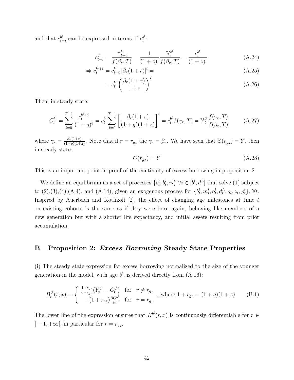and that  $c_{t-i}^{b^l}$  can be expressed in terms of  $c_t^{b^l}$  $_{t}^{b^{t}}$  :

$$
c_{t-i}^{b^l} = \frac{\mathbb{Y}_{t-i}^{b^l}}{f(\beta_r, T)} = \frac{1}{(1+z)^i} \frac{\mathbb{Y}_t^{b^l}}{f(\beta_r, T)} = \frac{c_t^{b^l}}{(1+z)^i}
$$
(A.24)

$$
\Rightarrow c_t^{b^l + i} = c_{t-i}^{b^l} [\beta_r (1+r)]^i =
$$
\n(A.25)

$$
= c_t^{b^l} \left( \frac{\beta_r (1+r)}{1+z} \right)^i \tag{A.26}
$$

Then, in steady state:

$$
C_t^{b^l} = \sum_{i=0}^{T-1} \frac{c_t^{b^l+i}}{(1+g)^i} = c_t^{b^l} \sum_{i=0}^{T-1} \left[ \frac{\beta_r(1+r)}{(1+g)(1+z)} \right]^i = c_t^{b^l} f(\gamma_r, T) = \mathbb{Y}_t^{b^l} \frac{f(\gamma_r, T)}{f(\beta_r, T)}
$$
(A.27)

where  $\gamma_r = \frac{\beta_r(1+r)}{(1+a)(1+r)}$  $\frac{\beta_r(1+r)}{(1+g)(1+z)}$ . Note that if  $r = r_{gz}$  the  $\gamma_r = \beta_r$ . We have seen that  $\mathbb{Y}(r_{gz}) = Y$ , then in steady state:

$$
C(r_{gz}) = Y \tag{A.28}
$$

This is an important point in proof of the continuity of excess borrowing in proposition 2.

We define an equilibrium as a set of processes  $\{c_t^i, b_t^i, r_t\}$   $\forall i \in [b^l, d^L]$  that solve (1) subject to  $(2),(3),(4),(A.4)$ , and  $(A.14)$ , given an exogenous process for  $\{b_t^l, m_t^l, o_t^l, d_t^L, g_t, z_t, \rho_t^i\}, \forall t$ . Inspired by Auerbach and Kotlikoff  $[2]$ , the effect of changing age milestones at time t on existing cohorts is the same as if they were born again, behaving like members of a new generation but with a shorter life expectancy, and initial assets resulting from prior accumulation.

## B Proposition 2: Excess Borrowing Steady State Properties

(i) The steady state expression for excess borrowing normalized to the size of the younger generation in the model, with age  $b^l$ , is derived directly from  $(A.16)$ :

$$
B_t^{b^l}(r,x) = \begin{cases} \frac{1+r_{gz}}{r-r_{gz}} (Y_t^{b^l} - C_t^{b^l}) & \text{for } r \neq r_{gz} \\ -(1+r_{gz})\frac{\partial C_b^{b^l}}{\partial r} & \text{for } r = r_{gz} \end{cases}
$$
, where  $1 + r_{gz} = (1+g)(1+z)$  (B.1)

The lower line of the expression ensures that  $B^{b'}(r, x)$  is continuously differentiable for  $r \in$  $]-1, +\infty[$ , in particular for  $r = r_{gz}$ .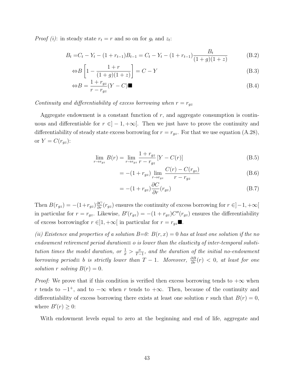*Proof (i)*: in steady state  $r_t = r$  and so on for  $g_t$  and  $z_t$ :

$$
B_t = C_t - Y_t - (1 + r_{t-1})B_{t-1} = C_t - Y_t - (1 + r_{t-1})\frac{B_t}{(1 + g)(1 + z)}
$$
(B.2)

$$
\Leftrightarrow B\left[1 - \frac{1+r}{(1+g)(1+z)}\right] = C - Y\tag{B.3}
$$

$$
\Leftrightarrow B = \frac{1 + r_{gz}}{r - r_{gz}} (Y - C) \blacksquare
$$
\n(B.4)

### Continuity and differentiability of excess borrowing when  $r = r_{gz}$

Aggregate endowment is a constant function of  $r$ , and aggregate consumption is continuous and differentiable for  $r \in ]-1, +\infty[$ . Then we just have to prove the continuity and differentiability of steady state excess borrowing for  $r = r_{gz}$ . For that we use equation (A.28), or  $Y = C(r_{gz})$ :

$$
\lim_{r \to r_{gz}} B(r) = \lim_{r \to r_{gz}} \frac{1 + r_{gz}}{r - r_{gz}} \left[ Y - C(r) \right]
$$
\n(B.5)

$$
= -(1 + r_{gz}) \lim_{r \to r_{gz}} \frac{C(r) - C(r_{gz})}{r - r_{gz}} \tag{B.6}
$$

$$
= -(1 + r_{gz})\frac{\partial C}{\partial r}(r_{gz})
$$
\n(B.7)

Then  $B(r_{gz}) = -(1+r_{gz})\frac{\partial C}{\partial r}(r_{gz})$  ensures the continuity of excess borrowing for  $r \in ]-1, +\infty[$ in particular for  $r = r_{gz}$ . Likewise,  $B'(r_{gz}) = -(1 + r_{gz})C''(r_{gz})$  ensures the differentiability of excess borrowingfor  $r \in ]1, +\infty[$  in particular for  $r = r_{gz} \blacksquare$ .

(ii) Existence and properties of a solution  $B=0$ :  $B(r, x) = 0$  has at least one solution if the no endowment retirement period duration $\equiv o$  is lower than the elasticity of inter-temporal substitution times the model duration, or  $\frac{1}{\sigma} > \frac{o}{T-1}$ , and the duration of the initial no-endowment borrowing period $\equiv$  b is strictly lower than  $T-1$ . Moreover,  $\frac{\partial B}{\partial r}(r) < 0$ , at least for one solution r solving  $B(r) = 0$ .

*Proof:* We prove that if this condition is verified then excess borrowing tends to  $+\infty$  when r tends to  $-1^+$ , and to  $-\infty$  when r tends to  $+\infty$ . Then, because of the continuity and differentiability of excess borrowing there exists at least one solution r such that  $B(r) = 0$ , where  $B'(r) \geq 0$ :

With endowment levels equal to zero at the beginning and end of life, aggregate and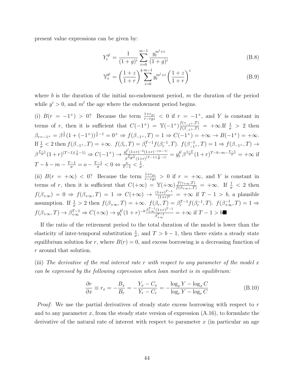present value expressions can be given by:

$$
Y_t^{b^l} = \frac{1}{(1+g)^i} \sum_{i=0}^{m-1} \frac{y_t^{m^l+i}}{(1+g)^i}
$$
 (B.8)

$$
\mathbb{Y}_t^{b^l} = \left(\frac{1+z}{1+r}\right)^b \sum_{i=0}^{m-1} y_t^{m^l+i} \left(\frac{1+z}{1+r}\right)^i
$$
 (B.9)

where b is the duration of the initial no-endowment period,  $m$  the duration of the period while  $y^i > 0$ , and  $m^l$  the age where the endowment period begins.

(i)  $B(r = -1^+) > 0$ ? Because the term  $\frac{1+r_{gz}}{r-rgz} < 0$  if  $r = -1^+$ , and Y is constant in terms of r, then it is sufficient that  $C(-1^+) = \mathbb{Y}(-1^+) \frac{f(\gamma_{-1}^+, T)}{f(\beta_{-1}^+, T)} = +\infty$ . If  $\frac{1}{\sigma} > 2$  then  $\beta_{r=-1^+} = \beta^{\frac{1}{\sigma}}(1+(-1^+))^{\frac{1}{\sigma}-1} = 0^+ \Rightarrow f(\beta_{-1^+}, T) = 1 \Rightarrow C(-1^+) = +\infty \to B(-1^+) = +\infty.$ If  $\frac{1}{\sigma} < 2$  then  $f(\beta_{-1^+}, T) = +\infty$ .  $f(\beta_r, T) = \beta_r^{T-1} f(\beta_r^{-1}, T)$ .  $f(\beta_{-1^+}, T) = 1 \Rightarrow f(\beta_{-1^+}, T) \to$  $\beta^{\frac{T-1}{\sigma}}(1+r)^{(T-1)(\frac{1}{\sigma}-1)} \Rightarrow C(-1^+) \rightarrow \frac{y_t^{b^l}(1+r)^{-b}(1+r)^{-(m-1)}}{T^{-1}(\alpha^{\sigma}(T-1)(\frac{1}{\sigma}-1)})}$  $g_{\frac{p^{t}}{\sigma}(1+r)^{-b}(1+r)^{-(m-1)}}^{p^{t}}=y_{t}^{b^{l}}\beta^{\frac{1-T}{\sigma}}(1+r)^{T-b-m-\frac{T-1}{\sigma}}=+\infty$  if  $T-b-m-\frac{T-1}{\sigma}=o-\frac{T-1}{\sigma}<0\Leftrightarrow\frac{o}{T-1}<\frac{1}{\sigma}$ σ .

(ii)  $B(r = +\infty) < 0$ ? Because the term  $\frac{1+r_{gz}}{r-rgz} > 0$  if  $r = +\infty$ , and Y is constant in terms of r, then it is sufficient that  $C(+\infty) = \mathbb{Y}(+\infty) \frac{f(\gamma+\infty,T)}{f(\beta+\infty+T)} = +\infty$ . If  $\frac{1}{\sigma} < 2$  then  $f(\beta_{+\infty}) = 0 \Rightarrow f(\beta_{+\infty}, T) = 1 \Rightarrow C(+\infty) \rightarrow \frac{(1+r)^{T-1}}{(1+r)^b}$  $\frac{(1+r)^{2}}{(1+r)^{b}} = +\infty$  if  $T-1 > b$ , a plausible assumption. If  $\frac{1}{\sigma} > 2$  then  $f(\beta_{+\infty}, T) = +\infty$ .  $f(\beta_r, T) = \beta_r^{T-1} f(\beta_r^{-1}, T)$ .  $f(\beta_{+\infty}^{-1}, T) = 1 \Rightarrow$  $f(\beta_{+\infty}, T) \to \beta_{+\infty}^{T-1} \Rightarrow C(+\infty) \to y_t^{b}$  $b^l (1+r)^{-b} \frac{\beta_{+\infty}^{T-1} (1+r)^{T-1}}{\beta_{-1}^{T-1}}$  $\frac{1+T}{\beta_{+\infty}^{T-1}} = +\infty$  if  $T-1 > b$ 

If the ratio of the retirement period to the total duration of the model is lower than the elasticity of inter-temporal substitution  $\frac{1}{\sigma}$ , and  $T > b - 1$ , then there exists a steady state equilibrium solution for r, where  $B(r) = 0$ , and excess borrowing is a decreasing function of r around that solution.

(iii) The derivative of the real interest rate r with respect to any parameter of the model x can be expressed by the following expression when loan market is in equilibrium:

$$
\frac{\partial r}{\partial x} \equiv r_x = -\frac{B_x}{B_r} = -\frac{Y_x - C_x}{Y_r - C_r} = -\frac{\log_x Y - \log_x C}{\log_r Y - \log_r C}
$$
(B.10)

*Proof:* We use the partial derivatives of steady state excess borrowing with respect to  $r$ and to any parameter x, from the steady state version of expression  $(A.16)$ , to formulate the derivative of the natural rate of interest with respect to parameter  $x$  (in particular an age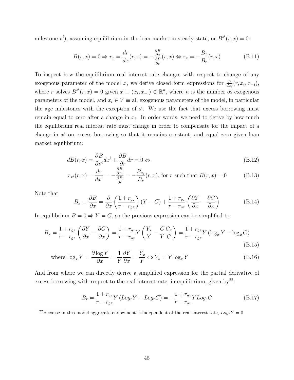milestone  $v^i$ ), assuming equilibrium in the loan market in steady state, or  $B^{b'}(r, x) = 0$ :

$$
B(r,x) = 0 \Rightarrow r_x = \frac{dr}{dx}(r,x) = -\frac{\frac{\partial B}{\partial x}}{\frac{\partial B}{\partial r}}(r,x) \Leftrightarrow r_x = -\frac{B_x}{B_r}(r,x)
$$
(B.11)

To inspect how the equilibrium real interest rate changes with respect to change of any exogenous parameter of the model x, we derive closed form expressions for  $\frac{dr}{dx_i}(r, x_i, x_{-i}),$ where r solves  $B^{b}(r, x) = 0$  given  $x \equiv (x_i, x_{-i}) \in \mathbb{R}^n$ , where n is the number os exogenous parameters of the model, and  $x_i \in V \equiv$  all exogenous parameters of the model, in particular the age milestones with the exception of  $s^l$ . We use the fact that excess borrowing must remain equal to zero after a change in  $x_i$ . In order words, we need to derive by how much the equilibrium real interest rate must change in order to compensate for the impact of a change in  $x^i$  on excess borrowing so that it remains constant, and equal zero given loan market equilibrium:

$$
dB(r,x) = \frac{\partial B}{\partial v^i} dx^i + \frac{\partial B}{\partial r} dr = 0 \Leftrightarrow \tag{B.12}
$$

$$
r_{x^{i}}(r,x) = \frac{dr}{dx^{i}} = -\frac{\frac{\partial B}{\partial x_{i}}}{\frac{\partial B}{\partial r}} = -\frac{B_{x_{i}}}{B_{r}}(r,x), \text{ for } r \text{ such that } B(r,x) = 0 \tag{B.13}
$$

Note that

$$
B_x \equiv \frac{\partial B}{\partial x} = \frac{\partial}{\partial x} \left( \frac{1 + r_{gz}}{r - r_{gz}} \right) (Y - C) + \frac{1 + r_{gz}}{r - r_{gz}} \left( \frac{\partial Y}{\partial x} - \frac{\partial C}{\partial x} \right)
$$
(B.14)

In equilibrium  $B = 0 \Rightarrow Y = C$ , so the previous expression can be simplified to:

$$
B_x = \frac{1 + r_{gz}}{r - r_{gz}} \left( \frac{\partial Y}{\partial x} - \frac{\partial C}{\partial x} \right) = \frac{1 + r_{gz}}{r - r_{gz}} Y \left( \frac{Y_x}{Y} - \frac{C}{Y} \frac{C_x}{C} \right) = \frac{1 + r_{gz}}{r - r_{gz}} Y \left( \log_x Y - \log_x C \right)
$$
\n(B.15)

where 
$$
\log_x Y = \frac{\partial \log Y}{\partial x} = \frac{1}{Y} \frac{\partial Y}{\partial x} = \frac{Y_x}{Y} \Leftrightarrow Y_x = Y \log_x Y
$$
 (B.16)

And from where we can directly derive a simplified expression for the partial derivative of excess borrowing with respect to the real interest rate, in equilibrium, given by<sup>22</sup>:

$$
B_r = \frac{1 + r_{gz}}{r - r_{gz}} Y (Log_r Y - Log_r C) = -\frac{1 + r_{gz}}{r - r_{gz}} Y Log_r C
$$
 (B.17)

<sup>&</sup>lt;sup>22</sup>Because in this model aggregate endowment is independent of the real interest rate,  $Log_r Y = 0$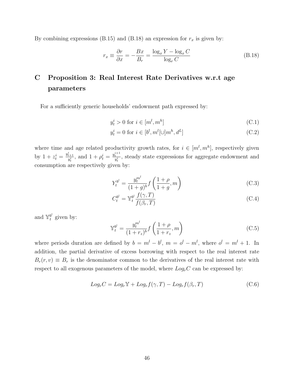By combining expressions (B.15) and (B.18) an expression for  $r_x$  is given by:

$$
r_x \equiv \frac{\partial r}{\partial x} = -\frac{Bx}{B_r} = \frac{\log_x Y - \log_x C}{\log_r C}
$$
 (B.18)

# C Proposition 3: Real Interest Rate Derivatives w.r.t age parameters

For a sufficiently generic households' endowment path expressed by:

$$
y_t^i > 0 \text{ for } i \in [m^l, m^h]
$$
 (C.1)

$$
y_t^i = 0 \text{ for } i \in [b^l, m^l[\cup]m^h, d^L]
$$
 (C.2)

where time and age related productivity growth rates, for  $i \in [m^l, m^h]$ , respectively given by  $1 + z_t^i = \frac{y_{t+1}^i}{y_t^i}$ , and  $1 + \rho_t^i = \frac{y_t^{i+1}}{y_t^i}$ , steady state expressions for aggregate endowment and consumption are respectively given by:

$$
Y_t^{b^l} = \frac{y_t^{m^l}}{(1+g)^b} f\left(\frac{1+\rho}{1+g}, m\right)
$$
 (C.3)

$$
C_t^{b^l} = \mathbb{Y}_t^{b^l} \frac{f(\gamma, T)}{f(\beta_r, T)}
$$
(C.4)

and  $\mathbb{Y}_t^{b^l}$  $t^{b^i}$  given by:

$$
\mathbb{Y}_{t}^{b^{l}} = \frac{y_{t}^{m^{l}}}{(1+r_{z})^{b}} f\left(\frac{1+\rho}{1+r_{z}}, m\right)
$$
\n(C.5)

where periods duration are defined by  $b = m<sup>l</sup> - b<sup>l</sup>$ ,  $m = o<sup>l</sup> - m<sup>l</sup>$ , where  $o<sup>l</sup> = m<sup>l</sup> + 1$ . In addition, the partial derivative of excess borrowing with respect to the real interest rate  $B_r(r, v) \equiv B_r$  is the denominator common to the derivatives of the real interest rate with respect to all exogenous parameters of the model, where  $Log<sub>r</sub>C$  can be expressed by:

$$
LogrC = LogrY + Logrf(\gamma, T) - Logrf(\betar, T)
$$
\n(C.6)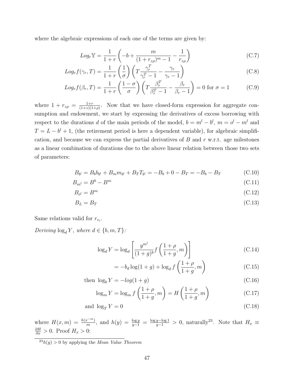where the algebraic expressions of each one of the terms are given by:

$$
Log_r Y = \frac{1}{1+r} \left( -b + \frac{m}{(1+r_{z\rho})^m - 1} - \frac{1}{r_{z\rho}} \right)
$$
 (C.7)

$$
Log_r f(\gamma_r, T) = \frac{1}{1+r} \left(\frac{1}{\sigma}\right) \left(T \frac{\gamma_r^T}{\gamma_r^T - 1} - \frac{\gamma_r}{\gamma_r - 1}\right)
$$
(C.8)

$$
Log_r f(\beta_r, T) = \frac{1}{1+r} \left( \frac{1-\sigma}{\sigma} \right) \left( T \frac{\beta_r^T}{\beta_r^T - 1} - \frac{\beta_r}{\beta_r - 1} \right) = 0 \text{ for } \sigma = 1 \tag{C.9}
$$

where  $1 + r_{z\rho} = \frac{1+r}{(1+z)(1+r)}$  $\frac{1+r}{(1+z)(1+\rho)}$ . Now that we have closed-form expression for aggregate consumption and endowment, we start by expressing the derivatives of excess borrowing with respect to the durations d of the main periods of the model,  $b = m<sup>l</sup> - b<sup>l</sup>$ ,  $m = o<sup>l</sup> - m<sup>l</sup>$  and  $T = L - b^l + 1$ , (the retirement period is here a dependent variable), for algebraic simplification, and because we can express the partial derivatives of  $B$  and  $r$  w.r.t. age milestones as a linear combination of durations due to the above linear relation between those two sets of parameters:

$$
B_{b^{l}} = B_{b}b_{b^{l}} + B_{m}m_{b^{l}} + B_{T}T_{b^{l}} = -B_{b} + 0 - B_{T} = -B_{b} - B_{T}
$$
(C.10)

$$
B_{m^{l}} = B^{b} - B^{m} \tag{C.11}
$$

$$
B_{o^l} = B^m \tag{C.12}
$$

$$
B_L = B_T \tag{C.13}
$$

Same relations valid for  $r_{v_i}$ .

Deriving  $log_d Y$ , where  $d \in \{b, m, T\}$ :

$$
\log_d Y = \log_d \left[ \frac{y^{m^l}}{(1+g)^b} f\left(\frac{1+\rho}{1+g}, m\right) \right]
$$
 (C.14)

$$
= -b_d \log(1+g) + \log_d f\left(\frac{1+\rho}{1+g}, m\right) \tag{C.15}
$$

then  $\log_b Y = -\log(1 + g)$  (C.16)

$$
\log_m Y = \log_m f\left(\frac{1+\rho}{1+g}, m\right) = H\left(\frac{1+\rho}{1+g}, m\right) \tag{C.17}
$$

$$
and \log_T Y = 0 \tag{C.18}
$$

where  $H(x,m) = \frac{h(x^{-m})}{m}$ , and  $h(y) = \frac{\log y}{y-1} = \frac{\log y - \log 1}{y-1} > 0$ , naturally<sup>23</sup>. Note that  $H_x \equiv$  $\frac{\partial H}{\partial x} > 0$ . Proof  $H_x > 0$ :

 $\frac{23}{23}h(y) > 0$  by applying the *Mean Value Theorem*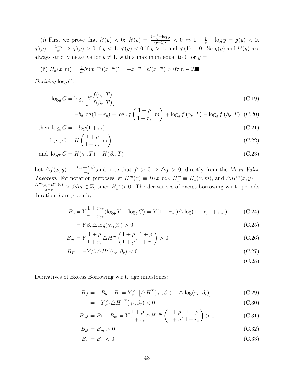(i) First we prove that  $h'(y) < 0$ :  $h'(y) = \frac{1-\frac{1}{y}-\log y}{(y-1)^2} < 0 \Leftrightarrow 1-\frac{1}{y}-\log y = g(y) < 0$ .  $g'(y) = \frac{1-y}{y^2} \Rightarrow g'(y) > 0$  if  $y < 1$ ,  $g'(y) < 0$  if  $y > 1$ , and  $g'(1) = 0$ . So  $g(y)$ , and  $h'(y)$  are always strictly negative for  $y \neq 1$ , with a maximum equal to 0 for  $y = 1$ .

(ii) 
$$
H_x(x,m) = \frac{1}{m}h'(x^{-m})(x^{-m})' = -x^{-m-1}h'(x^{-m}) > 0 \forall m \in \mathbb{Z}
$$

Deriving  $\log_d C$ :

$$
\log_d C = \log_d \left[ \mathbb{Y} \frac{f(\gamma_r, T)}{f(\beta_r, T)} \right]
$$
\n(C.19)

$$
= -b_d \log(1+r_z) + \log_d f\left(\frac{1+\rho}{1+r_z}, m\right) + \log_d f\left(\gamma_r, T\right) - \log_d f\left(\beta_r, T\right) \tag{C.20}
$$

then 
$$
\log_b C = -\log(1 + r_z) \tag{C.21}
$$

$$
\log_m C = H\left(\frac{1+\rho}{1+r_z}, m\right) \tag{C.22}
$$

and 
$$
\log_T C = H(\gamma_r, T) - H(\beta_r, T)
$$
 (C.23)

Let  $\Delta f(x,y) = \frac{f(x)-f(y)}{x-y}$ , and note that  $f' > 0 \Rightarrow \Delta f > 0$ , directly from the *Mean Value* Theorem. For notation purposes let  $H^m(x) \equiv H(x, m)$ ,  $H_x^m \equiv H_x(x, m)$ , and  $\triangle H^m(x, y) =$  $H^m(x)-H^m(y)$  $x-y \to H^{m}(y)$  > 0∀m ∈ Z, since  $H^{m}_{x} > 0$ . The derivatives of excess borrowing w.r.t. periods duration  $d$  are given by:

$$
B_b = Y \frac{1 + r_{gz}}{r - r_{gz}} (\log_b Y - \log_b C) = Y(1 + r_{gz}) \triangle \log(1 + r, 1 + r_{gz})
$$
 (C.24)

$$
= Y\beta_r \triangle \log(\gamma_r, \beta_r) > 0
$$
\n(C.25)

$$
B_m = Y \frac{1+\rho}{1+r_z} \Delta H^m \left( \frac{1+\rho}{1+g}, \frac{1+\rho}{1+r_z} \right) > 0
$$
 (C.26)

$$
B_T = -Y\beta_r \Delta H^T(\gamma_r, \beta_r) < 0\tag{C.27}
$$

(C.28)

Derivatives of Excess Borrowing w.r.t. age milestones:

$$
B_{b} = -B_b - B_t = Y\beta_r \left[ \Delta H^T(\gamma_r, \beta_r) - \Delta \log(\gamma_r, \beta_r) \right]
$$
(C.29)

$$
= -Y\beta_r \triangle H^{-T}(\gamma_r, \beta_r) < 0 \tag{C.30}
$$

$$
B_{m^{l}} = B_{b} - B_{m} = Y \frac{1+\rho}{1+r_{z}} \Delta H^{-m} \left( \frac{1+\rho}{1+g}, \frac{1+\rho}{1+r_{z}} \right) > 0
$$
 (C.31)

$$
B_{o^l} = B_m > 0 \tag{C.32}
$$

$$
B_L = B_T < 0 \tag{C.33}
$$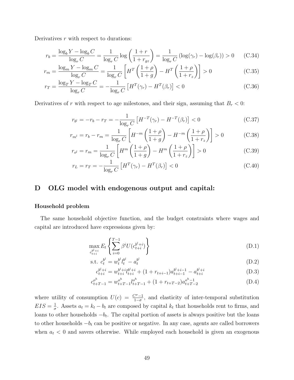Derivatives  $r$  with respect to durations:

$$
r_b = \frac{\log_b Y - \log_b C}{\log_r C} = \frac{1}{\log_r C} \log \left( \frac{1+r}{1+r_{gz}} \right) = \frac{1}{\log_r C} \left( \log(\gamma_r) - \log(\beta_r) \right) > 0 \tag{C.34}
$$

$$
r_m = \frac{\log_m Y - \log_m C}{\log_r C} = \frac{1}{\log_r C} \left[ H^T \left( \frac{1+\rho}{1+g} \right) - H^T \left( \frac{1+\rho}{1+r_z} \right) \right] > 0 \tag{C.35}
$$

$$
r_T = \frac{\log_T Y - \log_T C}{\log_r C} = -\frac{1}{\log_r C} \left[ H^T(\gamma_r) - H^T(\beta_r) \right] < 0 \tag{C.36}
$$

Derivatives of r with respect to age milestones, and their sign, assuming that  $B_r < 0$ :

$$
r_{b'} = -r_b - r_T = -\frac{1}{\log_r C} \left[ H^{-T}(\gamma_r) - H^{-T}(\beta_r) \right] < 0 \tag{C.37}
$$

$$
r_{m} = r_b - r_m = \frac{1}{\log_r C} \left[ H^{-m} \left( \frac{1+\rho}{1+g} \right) - H^{-m} \left( \frac{1+\rho}{1+r_z} \right) \right] > 0 \tag{C.38}
$$

$$
r_{o^l} = r_m = \frac{1}{\log_r C} \left[ H^m \left( \frac{1+\rho}{1+g} \right) - H^m \left( \frac{1+\rho}{1+r_z} \right) \right] > 0 \tag{C.39}
$$

$$
r_L = r_T = -\frac{1}{\log_r C} \left[ H^T(\gamma_r) - H^T(\beta_r) \right] < 0 \tag{C.40}
$$

# D OLG model with endogenous output and capital:

#### Household problem

The same household objective function, and the budget constraints where wages and capital are introduced have expressions given by:

$$
\max_{c_{t+i}^{b^l+i}} E_t \left\{ \sum_{i=0}^{T-1} \beta^i U(c_{t+i}^{b^l+i}) \right\} \tag{D.1}
$$

s.t. 
$$
c_t^{b^l} = w_t^{b^l} l_t^{b^l} - a_t^{b^l}
$$
 (D.2)

$$
c_{t+i}^{b^l+i} = w_{t+i}^{b^l+i} l_{t+i}^{b^l+i} + (1 + r_{t+i-1}) a_{t+i-1}^{b^l+i-1} - a_{t+i}^{b^l+i}
$$
 (D.3)

$$
c_{t+T-1}^{o^h} = w_{t+T-1}^{o^h} l_{t+T-1}^{o^h} + (1 + r_{t+T-2}) a_{t+T-2}^{o^h-1}
$$
 (D.4)

where utility of consumption  $U(c) = \frac{C^{\sigma}-1}{1-\sigma}$ , and elasticity of inter-temporal substitution  $EIS = \frac{1}{\sigma}$  $\frac{1}{\sigma}$ . Assets  $a_t = k_t - b_t$  are composed by capital  $k_t$  that households rent to firms, and loans to other households  $-b_t$ . The capital portion of assets is always positive but the loans to other households  $-b_t$  can be positive or negative. In any case, agents are called borrowers when  $a_t < 0$  and savers otherwise. While employed each household is given an exogenous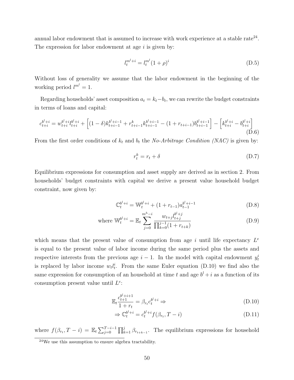annual labor endowment that is assumed to increase with work experience at a stable rate<sup>24</sup>. The expression for labor endowment at age  $i$  is given by:

$$
l_t^{m^l+i} = l_t^{m^l} (1+\rho)^i
$$
\n(D.5)

Without loss of generality we assume that the labor endowment in the beginning of the working period  $l^{m^l} = 1$ .

Regarding households' asset composition  $a_t = k_t - b_t$ , we can rewrite the budget constraints in terms of loans and capital:

$$
c_{t+i}^{b^l+i} = w_{t+i}^{b^l+i} l_{t+i}^{b^l+i} + \left[ (1-\delta)k_{t+i-1}^{b^l+i-1} + r_{t+i-1}^k k_{t+i-1}^{b^l+i-1} - (1+r_{t+i-1})b_{t+i-1}^{b^l+i-1} \right] - \left[ k_{t+i}^{b^l+i} - b_{t+i}^{b^l+i} \right] \tag{D.6}
$$

From the first order conditions of  $k_t$  and  $b_t$  the No-Arbitrage Condition (NAC) is given by:

$$
r_t^k = r_t + \delta \tag{D.7}
$$

Equilibrium expressions for consumption and asset supply are derived as in section 2. From households' budget constraints with capital we derive a present value household budget constraint, now given by:

$$
\mathbb{C}_t^{b^l+i} = \mathbb{W}_t^{b^l+i} + (1 + r_{t-1})a_{t-1}^{b^l+i-1}
$$
 (D.8)

where 
$$
\mathbb{W}_t^{b^l+i} = \mathbb{E}_t \sum_{j=0}^{m^h-i} \frac{w_{t+j} l_{t+j}^{b^l+j}}{\prod_{k=0}^{j-1} (1 + r_{t+k})}
$$
 (D.9)

which means that the present value of consumption from age i until life expectancy  $L^e$ is equal to the present value of labor income during the same period plus the assets and respective interests from the previous age  $i-1$ . In the model with capital endowment  $y_t^i$ is replaced by labor income  $w_t l_t^i$ . From the same Euler equation (D.10) we find also the same expression for consumption of an household at time t and age  $b^l + i$  as a function of its consumption present value until  $L^e$ :

$$
\mathbb{E}_t \frac{c_{t+1}^{b^l+i+1}}{1+r_t} = \beta_{r_t} c_t^{b^l+i} \Rightarrow \tag{D.10}
$$

$$
\Rightarrow \mathbb{C}_t^{b^l+i} = c_t^{b^l+i} f(\beta_{r_t}, T - i)
$$
\n(D.11)

where  $f(\beta_{r_t}, T - i) = \mathbb{E}_t \sum_{j=0}^{T-i-1} \prod_{k=1}^j \beta_{r_{t+k-1}}$ . The equilibrium expressions for household

<sup>24</sup>We use this assumption to ensure algebra tractability.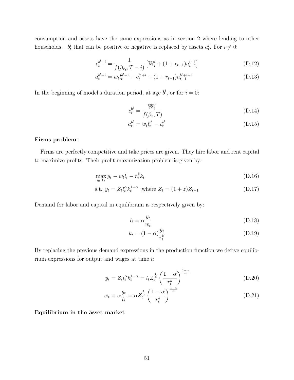consumption and assets have the same expressions as in section 2 where lending to other households  $-b_t^i$  that can be positive or negative is replaced by assets  $a_t^i$ . For  $i \neq 0$ :

$$
c_t^{b^l+i} = \frac{1}{f(\beta_{r_t}, T - i)} \left[ \mathbb{W}_t^i + (1 + r_{t-1}) a_{t-1}^{i-1} \right]
$$
 (D.12)

$$
a_t^{b^l+i} = w_t l_t^{b^l+i} - c_t^{b^l+i} + (1 + r_{t-1}) a_{t-1}^{b^l+i-1}
$$
 (D.13)

In the beginning of model's duration period, at age  $b^l$ , or for  $i = 0$ :

$$
c_t^{b^l} = \frac{\mathbb{W}_t^{b^l}}{f(\beta_r, T)}
$$
(D.14)

$$
a_t^{b^l} = w_t l_t^{b^l} - c_t^{b^l} \tag{D.15}
$$

### Firms problem:

Firms are perfectly competitive and take prices are given. They hire labor and rent capital to maximize profits. Their profit maximization problem is given by:

$$
\max_{y_t, k_t} y_t - w_t l_t - r_t^k k_t \tag{D.16}
$$

s.t. 
$$
y_t = Z_t l_t^{\alpha} k_t^{1-\alpha}
$$
, where  $Z_t = (1+z)Z_{t-1}$  (D.17)

Demand for labor and capital in equilibrium is respectively given by:

$$
l_t = \alpha \frac{y_t}{w_t} \tag{D.18}
$$

$$
k_t = (1 - \alpha) \frac{y_t}{r_t^k} \tag{D.19}
$$

By replacing the previous demand expressions in the production function we derive equilibrium expressions for output and wages at time t:

$$
y_t = Z_t l_t^{\alpha} k_t^{1-\alpha} = l_t Z_t^{\frac{1}{\alpha}} \left(\frac{1-\alpha}{r_t^k}\right)^{\frac{1-\alpha}{\alpha}}
$$
(D.20)

$$
w_t = \alpha \frac{y_t}{l_t} = \alpha Z_t^{\frac{1}{\alpha}} \left(\frac{1-\alpha}{r_t^k}\right)^{\frac{1-\alpha}{\alpha}}
$$
(D.21)

Equilibrium in the asset market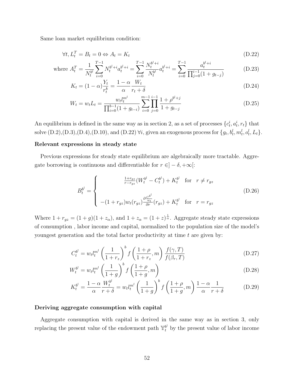Same loan market equilibrium condition:

$$
\forall t, L_t^T = B_t = 0 \Leftrightarrow A_t = K_t \tag{D.22}
$$

where 
$$
A_t^T = \frac{1}{N_t^{b^l}} \sum_{i=0}^{T-1} N_t^{b^l+i} a_t^{b^l+i} = \sum_{i=0}^{T-1} \frac{N_t^{b^l+i}}{N_t^{b^l}} a_t^{b^l+i} = \sum_{i=0}^{T-1} \frac{a_t^{b^l+i}}{\prod_{j=0}^{i-1} (1 + g_{t-j})}
$$
(D.23)

$$
K_t = (1 - \alpha) \frac{Y_t}{r_t^k} = \frac{1 - \alpha}{\alpha} \frac{W_t}{r_t + \delta}
$$
 (D.24)

$$
W_t = w_t L_t = \frac{w_t l_t^{m^l}}{\prod_{i=0}^{b-1} (1 + g_{t-i})} \sum_{i=0}^{m-1} \prod_{j=0}^{i-1} \frac{1 + \rho^{b^l + j}}{1 + g_{t-j}}
$$
(D.25)

An equilibrium is defined in the same way as in section 2, as a set of processes  $\{c_t^i, a_t^i, r_t\}$  that solve  $(D.2), (D.3), (D.4), (D.10),$  and  $(D.22)$   $\forall i$ , given an exogenous process for  $\{g_t, b_t^l, m_t^l, o_t^l, L_t\}$ .

#### Relevant expressions in steady state

Previous expressions for steady state equilibrium are algebraically more tractable. Aggregate borrowing is continuous and differentiable for  $r \in ]-\delta, +\infty[$ :

$$
B_t^{b^l} = \begin{cases} \frac{1+r_{gz}}{r-r_{gz}} (W_t^{b^l} - C_t^{b^l}) + K_t^{b^l} & \text{for } r \neq r_{gz} \\ \frac{1}{r-r_{gz}} (W_t^{b^l} - C_t^{b^l}) + K_t^{b^l} & \text{for } r = r_{gz} \end{cases}
$$
 (D.26)

Where  $1 + r_{gz} = (1 + g)(1 + z_\alpha)$ , and  $1 + z_\alpha = (1 + z)^\frac{1}{\alpha}$ . Aggregate steady state expressions of consumption , labor income and capital, normalized to the population size of the model's youngest generation and the total factor productivity at time  $t$  are given by:

$$
C_t^{b^l} = w_t l_t^{m^l} \left(\frac{1}{1+r_z}\right)^b f\left(\frac{1+\rho}{1+r_z}, m\right) \frac{f(\gamma, T)}{f(\beta_r, T)}
$$
(D.27)

$$
W_t^{b^l} = w_t l_t^{m^l} \left(\frac{1}{1+g}\right)^b f\left(\frac{1+\rho}{1+g}, m\right)
$$
 (D.28)

$$
K_t^{b^l} = \frac{1 - \alpha}{\alpha} \frac{W_t^{b^l}}{r + \delta} = w_t l_t^{m^l} \left(\frac{1}{1 + g}\right)^b f\left(\frac{1 + \rho}{1 + g}, m\right) \frac{1 - \alpha}{\alpha} \frac{1}{r + \delta}
$$
(D.29)

#### Deriving aggregate consumption with capital

Aggregate consumption with capital is derived in the same way as in section 3, only replacing the present value of the endowment path  $\mathbb{Y}^{b^l}_t$  by the present value of labor income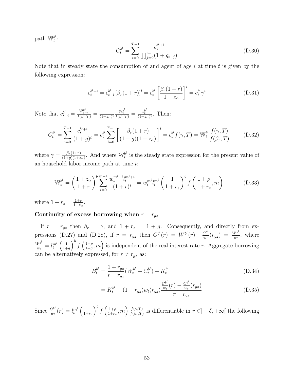path  $\mathbb{W}^{b^l}_t$  $_t^{b^t}$  :

$$
C_t^{b^l} = \sum_{i=0}^{T-1} \frac{c_t^{b^l+i}}{\prod_{j=0}^{i-1} (1 + g_{t-j})}
$$
(D.30)

Note that in steady state the consumption of and agent of age  $i$  at time  $t$  is given by the following expression:

$$
c_t^{b^l+i} = c_{t-i}^{b^l} \left[ \beta_r (1+r) \right]^i = c_t^{b^l} \left[ \frac{\beta_r (1+r)}{1+z_\alpha} \right]^i = c_t^{b^l} \gamma^i
$$
 (D.31)

Note that  $c_{t-i}^{b^l} = \frac{\mathbb{W}_{t-i}^{b^l}}{f(\beta_r,T)} = \frac{1}{(1+z)}$  $\overline{(1+z_\alpha)^i}$  $\frac{\mathbb{W}_t^{b^l}}{f(\beta_r,T)} = \frac{c_t^{b^l}}{(1+z_\alpha)^i}$ . Then:

$$
C_t^{b^l} = \sum_{i=0}^{T-1} \frac{c_t^{b^l+i}}{(1+g)^i} = c_t^{b^l} \sum_{i=0}^{T-1} \left[ \frac{\beta_r(1+r)}{(1+g)(1+z_\alpha)} \right]^i = c_t^{b^l} f(\gamma, T) = \mathbb{W}_t^{b^l} \frac{f(\gamma, T)}{f(\beta_r, T)}
$$
(D.32)

where  $\gamma = \frac{\beta_r(1+r)}{(1+a)(1+r)}$  $\frac{\beta_r(1+r)}{(1+g)(1+z_\alpha)}$ . And where  $\mathbb{W}_t^{b^l}$  $t<sup>b</sup>$  is the steady state expression for the present value of an household labor income path at time t:

$$
\mathbb{W}_t^{b^l} = \left(\frac{1+z_\alpha}{1+r}\right)^b \sum_{i=0}^{m-1} \frac{w_t^{m^l+i} l_t^{m^l+i}}{(1+r)^i} = w_t^{m^l} l_t^{m^l} \left(\frac{1}{1+r_z}\right)^b f\left(\frac{1+\rho}{1+r_z}, m\right) \tag{D.33}
$$

where  $1 + r_z = \frac{1+r}{1+z_z}$  $\frac{1+r}{1+z_{\alpha}}$ .

# Continuity of excess borrowing when  $r = r_{gz}$

If  $r = r_{gz}$  then  $\beta_r = \gamma$ , and  $1 + r_z = 1 + g$ . Consequently, and directly from expressions (D.27) and (D.28), if  $r = r_{gz}$  then  $C^{b^{l}}(r) = W^{b^{l}}(r)$ .  $\frac{C^{b^{l}}(r)}{m}$  $\frac{C^{b^l}}{w_t}(r_{gz}) = \frac{W^{b^l}}{w_t}$  $\frac{V^{\sigma}}{w_t}$ , where  $W^{b^l}$  $\frac{V^{b^l}}{w_t}=l_t^{m^l}\left(\frac{1}{1+t}\right)$  $\frac{1}{1+g}$ <sup>b</sup>  $f\left(\frac{1+\rho}{1+g}\right)$  $\left(\frac{1+\rho}{1+g},m\right)$  is independent of the real interest rate r. Aggregate borrowing can be alternatively expressed, for  $r \neq r_{gz}$  as:

$$
B_t^{b^l} = \frac{1 + r_{gz}}{r - r_{gz}} (W_t^{b^l} - C_t^{b^l}) + K_t^{b^l}
$$
 (D.34)

$$
= K_t^{b^l} - (1 + r_{gz}) w_t(r_{gz}) \frac{\frac{C^{b^l}}{w_t}(r) - \frac{C^{b^l}}{w_t}(r_{gz})}{r - r_{gz}}
$$
(D.35)

Since  $\frac{C^{b^l}}{w}$  $\frac{C^{b^l}}{w_t}(r)=l_t^{m^l}\left(\frac{1}{1+r}\right)$  $\frac{1}{1+r_z}\right)^b f\left(\frac{1+\rho}{1+r_z}\right)$  $\frac{1+\rho}{1+r_z}, m\right)\frac{f(\gamma,T)}{f(\beta_r,T)}$  $\frac{f(\gamma,T)}{f(\beta_r,T)}$  is differentiable in  $r \in ]-\delta,+\infty[$  the following